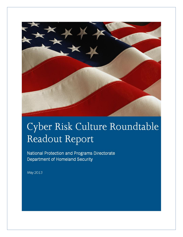

# Cyber Risk Culture Roundtable Readout Report

National Protection and Programs Directorate Department of Homeland Security

May 2013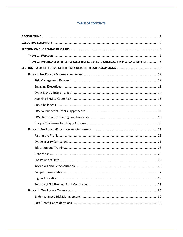# **TABLE OF CONTENTS**

| THEME 2: IMPORTANCE OF EFFECTIVE CYBER RISK CULTURES TO CYBERSECURITY INSURANCE MARKET  6 |  |
|-------------------------------------------------------------------------------------------|--|
|                                                                                           |  |
|                                                                                           |  |
|                                                                                           |  |
|                                                                                           |  |
|                                                                                           |  |
|                                                                                           |  |
|                                                                                           |  |
|                                                                                           |  |
|                                                                                           |  |
|                                                                                           |  |
|                                                                                           |  |
|                                                                                           |  |
|                                                                                           |  |
|                                                                                           |  |
|                                                                                           |  |
|                                                                                           |  |
|                                                                                           |  |
|                                                                                           |  |
|                                                                                           |  |
|                                                                                           |  |
|                                                                                           |  |
|                                                                                           |  |
|                                                                                           |  |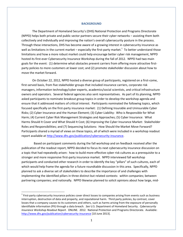#### **BACKGROUND**

The Department of Homeland Security's (DHS) National Protection and Programs Directorate (NPPD) helps both private and public sector partners secure their cyber networks – assisting them both collectively and individually and improving the nation's overall cybersecurity posture in the process. Through these interactions, DHS has become aware of a growing interest in cybersecurity insurance as well as limitations in the current market – especially the first-party market.<sup>1</sup> To better understand those limitations and how a more robust market could help encourage better cyber risk management, NPPD hosted its first-ever Cybersecurity Insurance Workshop during the fall of 2012. NPPD had two main goals for the event: (1) determine what obstacles prevent carriers from offering more attractive firstparty policies to more customers at lower cost; and (2) promote stakeholder discussion about how to move the market forward.

On October 22, 2012, NPPD hosted a diverse group of participants, registered on a first-come, first-served basis, from five stakeholder groups that included insurance carriers, corporate risk managers, information technology/cyber experts, academics/social scientists, and critical infrastructure owners and operators. Several federal agencies also sent representatives. As part of its planning, NPPD asked participants to nominate breakout group topics in order to develop the workshop agenda and ensure that it addressed matters of critical interest. Participants nominated the following topics, which focused specifically on the first-party insurance market: (1) Defining Insurable and Uninsurable Cyber Risks; (2) Cyber Insurance and the Human Element; (3) Cyber Liability: Who is Responsible for What Harm; (4) Current Cyber Risk Management Strategies and Approaches; (5) Cyber Insurance: What Harms Should It Cover and What Should It Cost; (6) Improving the Cyber Insurance Market: Stakeholder Roles and Responsibilities; and (7) Sequencing Solutions: How Should the Market Move Forward? Participants shared a myriad of views on these topics, all of which were included in a workshop readout report available a[t http://www.dhs.gov/publication/cybersecurity-insurance.](http://www.dhs.gov/publication/cybersecurity-insurance)

 Based on participant comments during the fall workshop and on feedback received after the publication of the readout report, NPPD decided to focus its next cybersecurity insurance discussion on a topic that had repeatedly arisen: how to build more effective cyber risk cultures as a prerequisite to a stronger and more responsive first-party insurance market. NPPD interviewed fall workshop participants and conducted other research in order to identify the key "pillars" of such cultures, each of which would help frame the agenda for a future roundtable discussion in this area. Specifically, NPPD planned to ask a diverse set of stakeholders to describe the importance of and challenges with implementing the identified pillars in three distinct but related contexts: within companies; between partnering companies; and nationally. NPPD likewise planned to solicit opinions about how large, mid-

 $\overline{a}$ 

 $1$  First-party cybersecurity insurance policies cover direct losses to companies arising from events such as business interruption, destruction of data and property, and reputational harm. Third party policies, by contrast, cover losses that a company causes to its customers and others, such as harms arising from the exposure of personally identifiable information (PII) through a data breach. *See* U.S. Department of Homeland Security. *Cybersecurity Insurance Workshop Readout Report*. ONLINE. 2012. National Protection and Programs Directorate. Available: <http://www.dhs.gov/publication/cybersecurity-insurance> [10 June 2013].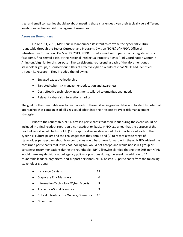size, and small companies should go about meeting those challenges given their typically very different levels of expertise and risk management resources.

## **ABOUT THE ROUNDTABLE**

On April 11, 2013, NPPD publicly announced its intent to convene the cyber risk culture roundtable through the Sector Outreach and Programs Division (SOPD) of NPPD's Office of Infrastructure Protection. On May 13, 2013, NPPD hosted a small set of participants, registered on a first-come, first-served basis, at the National Intellectual Property Rights (IPR) Coordination Center in Arlington, Virginia, for this purpose. The participants, representing each of the aforementioned stakeholder groups, discussed four pillars of effective cyber risk cultures that NPPD had identified through its research. They included the following:

- Engaged executive leadership
- Targeted cyber risk management education and awareness
- Cost-effective technology investments tailored to organizational needs
- Relevant cyber risk information sharing

The goal for the roundtable was to discuss each of these pillars in greater detail and to identify potential approaches that companies of all sizes could adopt into their respective cyber risk management strategies.

Prior to the roundtable, NPPD advised participants that their input during the event would be included in a final readout report on a non-attribution basis. NPPD explained that the purpose of the readout report would be twofold: (1) to capture diverse ideas about the importance of each of the cyber risk culture pillars and the challenges that they entail; and (2) to record a wide range of stakeholder perspectives about how companies could best move forward with them. NPPD advised the confirmed participants that it was not looking for, would not accept, and would not solicit group or consensus recommendations during the roundtable. NPPD likewise clarified that neither DHS nor NPPD would make any decisions about agency policy or positions during the event. In addition to 11 roundtable leaders, organizers, and support personnel, NPPD hosted 39 participants from the following stakeholder groups:

- Insurance Carriers: 11
- Corporate Risk Managers: 6
- Information Technology/Cyber Experts: 8
- Academics/Social Scientists: 3
- Critical Infrastructure Owners/Operators: 10
- Government: 1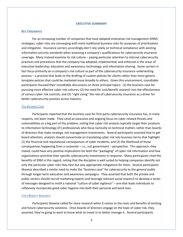#### **EXECUTIVE SUMMARY**

#### **KEY TAKEAWAYS**

For an increasing number of companies that have adopted enterprise risk management (ERM) strategies, cyber risks are converging with more traditional business risks for purposes of prioritization and mitigation. Insurance carriers accordingly don't rely solely on technical compliance with existing information security standards when assessing a company's qualifications for cybersecurity insurance coverage. Many instead examine its risk culture – paying particular attention to internal cybersecurity practices and procedures that the company has adopted, implemented, and enforced in the areas of executive leadership; education and awareness; technology; and information sharing. Some carriers in fact focus primarily on a company's risk culture as part of the cybersecurity insurance underwriting process – a practice that leads to the drafting of custom policies for clients rather than more generic template policies that could be marketed more broadly to others. Given this environment, roundtable participants focused their roundtable discussions on three principal topics: (1) the business case for pursuing more effective cyber risk cultures; (2) the need for cost/benefit research into the effectiveness of various cyber risk controls; and (3) "right sizing" the role of cybersecurity insurance as a driver for better cybersecurity practice across industry.

#### *THE BUSINESS CASE*

Participants reported that the business case for first-party cybersecurity insurance has, in many respects, not been made. They cited an excessive and ongoing focus on cyber-related threats and vulnerabilities as a big part of the problem, noting that cyber risk analysts typically target their products to information technology (IT) professionals who focus tactically on technical matters rather than boards of directors that make strategic risk management investments. Several participants asserted that to get board attention, analysts should concentrate on translating cyber risk into business terms that highlight (1) the financial and reputational *consequences* of cyber incidents; and (2) the likelihood of those consequences happening from a *corporate* – i.e., not government – perspective. This approach, they stated, could have very positive implications for both the "packaging" of cyber risk information and how organizations prioritize their specific cybersecurity investments in response. Many participants cited the benefits of ERM in this regard, noting that the discipline is well-suited to helping companies identify not only the particular cyber risks they face but also appropriate mitigations for them. Several participants likewise described a similar need to make the "business case" for cybersecurity to the general public through longer-term education and awareness campaigns. They asserted that both the private and public sectors should recruit marketing experts and leverage relevant social research to develop a series of messages designed to instill a national "culture of cyber vigilance" – one that leads individuals to reflexively incorporate good cyber hygiene into both their personal and work lives.

#### *COST/BENEFIT RESEARCH*

Participants likewise called for more research when it comes to the costs and benefits of existing and future cybersecurity solutions. Once boards of directors engage on the topic of cyber risk, they asserted, they're going to want to know what to invest in to better manage it. Several participants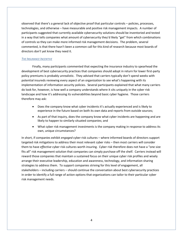observed that there's a general lack of objective proof that particular controls – policies, processes, technologies, and otherwise – have measurable and positive risk management impacts. A number of participants suggested that currently available cybersecurity solutions should be inventoried and tested in a way that tells companies what amount of cybersecurity they'd likely "get" from which combinations of controls so they can make more informed risk management decisions. The problem, several commented, is that there hasn't been a common call for this kind of research because most boards of directors don't yet know they need it.

## *THE INSURANCE INCENTIVE*

Finally, many participants commented that expecting the insurance industry to spearhead the development of best cybersecurity practices that companies should adopt in return for lower first-party policy premiums is probably unrealistic. They advised that carriers typically don't spend weeks with potential insureds reviewing every aspect of an organization to see what's happening with its implementation of information security policies. Several participants explained that what many carriers do look for, however, is how well a company understands where it sits uniquely in the cyber risk landscape and how it's addressing its vulnerabilities beyond basic cyber hygiene. Those carriers therefore may ask:

- Does the company know what cyber incidents it's actually experienced and is likely to experience in the future based on both its own data and reports from outside sources;
- As part of that inquiry, does the company know what cyber incidents are happening and are likely to happen to similarly situated companies; and
- What cyber risk management investments is the company making in response to address its own, unique circumstances?

In short, if companies exhibit *engaged* cyber risk cultures – where informed boards of directors support targeted risk mitigations to address their most relevant cyber risks – then most carriers will consider them to have *effective* cyber risk cultures worth insuring. Cyber risk therefore does not have a "one size fits all" risk management solution that companies can simply purchase off the shelf. Carriers instead will reward those companies that maintain a sustained focus on their unique cyber risk profiles and wisely arrange their executive leadership, education and awareness, technology, and information sharing strategies to address them. To support companies striving for this level of engagement, all stakeholders – including carriers – should continue the conversation about best cybersecurity practices in order to identify a full range of action options that organizations can tailor to their particular cyber risk management needs.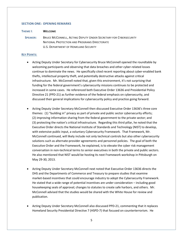#### **SECTION ONE: OPENING REMARKS**

#### **THEME I**: **WELCOME**

 **SPEAKER:** BRUCE MCCONNELL, ACTING DEPUTY UNDER SECRETARY FOR CYBERSECURITY NATIONAL PROTECTION AND PROGRAMS DIRECTORATE U.S. DEPARTMENT OF HOMELAND SECURITY

## **KEY POINTS:**

- Acting Deputy Under Secretary for Cybersecurity Bruce McConnell opened the roundtable by welcoming participants and observing that data breaches and other cyber-related losses continue to dominate the news. He specifically cited recent reporting about cyber-enabled bank thefts, intellectual property theft, and potentially destructive attacks against critical infrastructure. Mr. McConnell noted that, given this environment, it's not surprising that funding for the federal government's cybersecurity missions continues to be protected and increased in some cases. He referenced both Executive Order 13636 and Presidential Policy Directive 21 (PPD-21) as further evidence of the federal emphasis on cybersecurity, and discussed their general implications for cybersecurity policy and practice going forward.
- Acting Deputy Under Secretary McConnell then discussed Executive Order 13636's three core themes: (1) "building in" privacy as part of private and public sector cybersecurity efforts; (2) improving information sharing from the federal government to the private sector; and (3) protecting the nation's critical infrastructure. Regarding this third pillar, he noted that the Executive Order directs the National Institute of Standards and Technology (NIST) to develop, with extensive public input, a voluntary Cybersecurity Framework. That Framework, Mr. McConnell continued, will likely include not only technical controls but also other cybersecurity solutions such as alternate-provider agreements and personnel policies. The goal of both the Executive Order and the Framework, he explained, is to elevate the cyber risk management conversation in non-technical terms to senior executives in both the private and public sectors. He also mentioned that NIST would be hosting its next Framework workshop in Pittsburgh on May 29-30, 2013.
- Acting Deputy Under Secretary McConnell next noted that Executive Order 13636 directs the DHS and the Departments of Commerce and Treasury to prepare studies that examine market-based incentives that could encourage industry to adopt the Cybersecurity Framework. He stated that a wide range of potential incentives are under consideration – including good housekeeping seals of approval; changes to statutes to create safe harbors, and others. Mr. McConnell advised that the studies would be shared with the White House for review and publication.
- Acting Deputy Under Secretary McConnell also discussed PPD-21, commenting that it replaces Homeland Security Presidential Directive 7 (HSPD-7) that focused on counterterrorism. He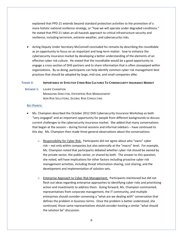explained that PPD-21 extends beyond standard protection activities to the promotion of a more holistic national resilience strategy, or "how we will operate under degraded conditions." He stated that PPD-21 takes an all-hazards approach to critical infrastructure security and resilience, including terrorism, extreme weather, and cybersecurity risks.

 Acting Deputy Under Secretary McConnell concluded his remarks by describing the roundtable as an opportunity to focus on an important and long-term matter: how to enhance the cybersecurity insurance market by developing a better understanding of the elements of an effective cyber risk culture. He stated that the roundtable would be a good opportunity to engage a cross-section of DHS partners and to share information that is often stovepiped within organizations. By so doing, participants can help identify common cyber risk management best practices that should be adopted by large, mid-size, and small companies alike.

## THEME II: IMPORTANCE OF EFFECTIVE CYBER RISK CULTURES TO CYBERSECURITY INSURANCE MARKET

 **SPEAKER 1:** LAURIE CHAMPION

MANAGING DIRECTOR, ENTERPRISE RISK MANAGEMENT AON RISK SOLUTIONS, GLOBAL RISK CONSULTING

#### **KEY POINTS:**

- Ms. Champion described the October 2012 DHS Cybersecurity Insurance Workshop as both "very engaged" and an important opportunity for people from different backgrounds to discuss current challenges to the cybersecurity insurance market. She added that many conversations that began at the session – during formal sessions and informal sidebars – have continued to this day. Ms. Champion then made three general observations about the conversations:
	- $\circ$  Responsibility for Cyber Risk. Participants did not agree about who "owns" cyber risk – not only within companies but also externally at the "macro" level. For example, Ms. Champion noted that participants debated whether cyber risk should be owned by the private sector, the public sector, or shared by both. The answer to this question, she noted, will have implications for other factors including proactive cyber risk management activities, including threat information sharing, cost sharing, and the development and implementation of solution sets.
	- $\circ$  Enterprise Approach to Cyber Risk Management. Participants mentioned but did not flesh out ideas regarding enterprise approaches to identifying cyber risks and prioritizing action and investments to address them. Going forward, Ms. Champion commented, representatives from corporate management, the IT community, and multiple enterprises should consider convening a "what are we dealing with" conversation that defines the problem in business terms. Once the problem is better understood, she continued, those same representatives should consider hosting a similar "what should the solution be" discussion.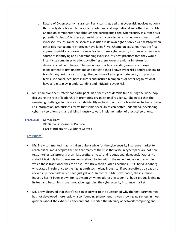- $\circ$  Nature of Cybersecurity Insurance. Participants agreed that cyber risk involves not only third-party data breach but also first-party financial, reputational and other harms. Ms. Champion commented that although the participants cited cybersecurity insurance as a potential "solution" to these potential losses, a core issue remained unresolved: should cybersecurity insurance be seen as a solution in its own right or only as a backstop when other risk management strategies have failed? Ms. Champion explained that the first approach might encourage business leaders to see cybersecurity insurance carriers as a source of identifying and understanding cybersecurity best practices that they would incentivize companies to adopt by offering them lower premiums in return for demonstrated compliance. The second approach, she added, would encourage management to first understand and mitigate their known cyber risks before seeking to transfer any residual risk through the purchase of an appropriate policy. In practical terms, she concluded, both insurers and insured (companies or other organizations) have a role to play in understanding and mitigating cyber risk.
- Ms. Champion then stated that participants had spent considerable time during the workshop discussing the role of leadership in promoting organizational resiliency. She noted that the remaining challenges in this area include identifying best practices for translating technical cyber risk information into business terms that senior executives can better understand, developing cyber risk solution sets, and driving industry toward implementation of practical solutions.

 **SPEAKER 2:** OLIVER BREW

VP, SPECIALTY CASUALTY DIVISION LIBERTY INTERNATIONAL UNDERWRITERS

## **KEY POINTS:**

- Mr. Brew commented that it's taken quite a while for the cybersecurity insurance market to reach critical mass despite the fact that many of the risks that arise in cyberspace are not new (e.g., intellectual property theft, lost profits, privacy, and reputational damages). Rather, he stated it is simply that there are new methodologies within the networked economy within which these traditional risks can arise. Mr. Brew then quoted Facebook COO Sheryl Sandberg who stated in reference to the high growth technology industry, "If you are offered a seat on a rocket ship, don't ask which seat; just get on." In contrast, Mr. Brew noted, the insurance industry hasn't been known for its dynamism when addressing cyber risk but is gradually finding its feet and becoming more innovative regarding the cybersecurity insurance market.
- Mr. Brew observed that there's no single answer to the question of why the first-party market has not developed more rapidly, a confounding phenomenon given growing awareness in most quarters about the cyber risk environment. He cited the ubiquity of network computing and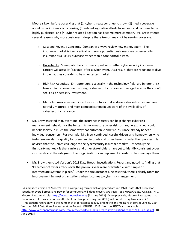Moore's Law<sup>2</sup> before observing that (1) cyber threats continue to grow; (2) media coverage about cyber incidents is increasing; (3) related legislative efforts have been and continue to be highly publicized; and (4) cyber-related litigation has become more common. Mr. Brew offered several reasons why more customers, despite these trends, may not be seeking coverage:

- $\circ$  Cost and Revenue Concerns. Companies always review new money spent. The insurance market is itself cyclical, and some potential customers see cybersecurity insurance as a luxury purchase rather than a core portfolio item.
- $\circ$  Uncertainty. Some potential customers question whether cybersecurity insurance carriers will actually "pay out" after a cyber event. As a result, they are reluctant to dive into what they consider to be an untested market.
- o High Risk Appetites. Entrepreneurs, especially in the technology field, are inherent risk takers. Some consequently forego cybersecurity insurance coverage because they don't see it as a necessary investment.
- $\circ$  Maturity. Awareness and incentives structures that address cyber risk exposure have not fully matured, and most companies remain unaware of the availability of cybersecurity insurance.
- Mr. Brew asserted that, over time, the insurance industry can help change cyber risk management behavior for the better. A more mature cyber risk culture, he explained, could benefit society in much the same way that automobile and fire insurance already benefit individual consumers. For example, Mr. Brew continued, careful drivers and homeowners who install smoke alarms qualify for premium discounts and other benefits under their policies. He advised that the unmet challenge to the cybersecurity insurance market – especially the first-party market – is that carriers and other stakeholders have yet to identify consistent cyber risk trends and the safeguards that organizations can implement in order to best manage them.
- Mr. Brew then cited Verizon's 2013 Data Breach Investigations Report and noted its finding that 90 percent of cyber attacks over the previous year were preventable with simple or intermediate systems in place.<sup>3</sup> Under the circumstances, he asserted, there's clearly room for improvement in most organizations when it comes to cyber risk management.

 $\overline{\phantom{a}}$ 

 $^2$  A simplified version of Moore's Law, a computing term which originated around 1970, states that processor speeds, or overall processing power for computers, will double every two years. *See Moore's Law*. ONLINE. N.D. Moore's Law. Available: <http://www.mooreslaw.org/> [11 June 2013]. More precisely, Moore's Law states that the number of transistors on an affordable central processing unit (CPU) will double every two years. *Id.*

<sup>3</sup> This statistic refers only to the number of cyber attacks in 2012 and not to any measure of consequences. *See* Verizon. *2013 Data Breach Investigations Report*. ONLINE. 2013. Verizon RISK Team. Available: [http://www.verizonenterprise.com/resources/reports/rp\\_data-breach-investigations-report-2013\\_en\\_xg.pdf](http://www.verizonenterprise.com/resources/reports/rp_data-breach-investigations-report-2013_en_xg.pdf) [18 June 2013].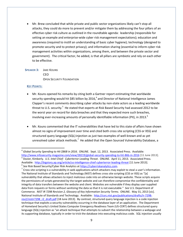Mr. Brew concluded that while private and public sector organizations likely can't stop all attacks, they could do more to prevent and/or mitigate them by addressing the four pillars of an effective cyber risk culture as outlined in the roundtable agenda: leadership (responsible for setting an example and enterprise-wide cyber risk management expectations); education and awareness (required to instill an understanding of basic cyber hygiene); technology (designed to promote security and to protect privacy); and information sharing (essential to inform cyber risk management activities within organizations, among them, and between the private sector and government). The critical factor, he added, is that all pillars are symbiotic and rely on each other to be effective.

 **SPEAKER 3:** JAKE KOUNS CEO OPEN SECURITY FOUNDATION

#### **KEY POINTS:**

l

- Mr. Kouns opened his remarks by citing both a Gartner report estimating that worldwide security spending would hit \$85 billion by 2016,<sup>4</sup> and Director of National Intelligence James Clapper's recent comments describing cyber attacks by non-state actors as a leading worldwide threat to U.S. security.<sup>5</sup> He stated that experts at Risk Based Security had assessed 2012 to be the worst year on record for data breaches and that they expected more such breaches, involving ever-increasing amounts of personally identifiable information (PII), in 2013.<sup>6</sup>
- Mr. Kouns commented that the IT vulnerabilities that have led to this state of affairs have shown almost no signs of improvement over time and cited both cross site scripting (CSS or XSS) and structured query language (SQL)injection as just two examples of well-known and as yet unresolved cyber attack methods.<sup>7</sup> He added that the Open Sourced Vulnerability Database, a

<sup>4</sup> *Global Security Spending to Hit \$86B in 2016*. ONLINE. Sept. 12, 2013. Associated Press. Available: <http://www.infosecurity-magazine.com/view/28219/global-security-spending-to-hit-86b-in-2016> [11 June 2013]. 5 Dozier, Kimberly. *U.S. Intel Chief: Cyberterror Leading Threat*. ONLINE. April 11, 2013. Associated Press. Available: <http://bigstory.ap.org/article/us-intelligence-chief-cyberterror-leading-threat> [11 June 2013].

<sup>&</sup>lt;sup>6</sup> See Risk Based Security/Cyber Risk Analytics at <u>https://cyberriskanalytics.com</u>.

 $^7$  Cross-site scripting is a vulnerability in web applications which attackers may exploit to steal a user's information. The National Institute of Standards and Technology (NIST) defines cross site scripting (CSS or XSS) as "[a] vulnerability that allows attackers to inject malicious code into an otherwise benign website. These scripts acquire the permissions of scripts generated by the target website and can therefore compromise the confidentiality and integrity of data transfers between the website and client. Websites are vulnerable if they display user supplied data from requests or forms without sanitizing the data so that it is not executable." *See* U.S. Department of Commerce. *NIST IR 7298 Revision 2, Glossary of Key Information Security Terms*. ONLINE. May 31, 2013 [sic]. National Institute of Standards and Technology. Available: [http://csrc.nist.gov/publications/drafts/ir-7298](http://csrc.nist.gov/publications/drafts/ir-7298-rev2/nistir7298_r2_draft.pdf) [rev2/nistir7298\\_r2\\_draft.pdf](http://csrc.nist.gov/publications/drafts/ir-7298-rev2/nistir7298_r2_draft.pdf) [18 June 2013]. By contrast, structured query language injection is a code injection technique that exploits a security vulnerability occurring in the database layer of an application. The Department of Homeland Security's United States Computer Emergency Readiness Team (US-CERT) defines structured query language (SQL) injection as "an attack technique that attempts to subvert the relationship between a webpage and its supporting database, typically in order to trick the database into executing malicious code. SQL injection usually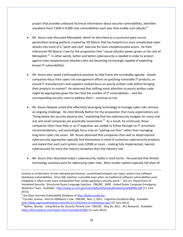project that provides unbiased technical information about security vulnerabilities, identifies anywhere from 7,600 to 9,000 new vulnerabilities each year that enable such attacks. ${}^{8}$ 

- Mr. Kouns next discussed Metasploit, which he described as a successful open source penetration testing platform created by HD Moore that has helped turn once complicated cyber attacks into more of a "point and click" exercise for even unsophisticated actors. He then referenced HD Moore's Law for the proposition that "casual attacker power grows at the rate of Metasploit."<sup>9</sup> In other words, better and better cybersecurity is needed in order to protect against even inexperienced attackers who are becoming increasingly capable of exploiting known IT vulnerabilities.
- Mr. Kouns also raised a philosophical question to help frame the roundtable agenda: should companies focus their cyber risk management efforts on patching vulnerable IT products, or should IT manufacturers and suppliers instead focus on poorly written code before bringing their products to market? He observed that shifting more attention to poorly written code might be appropriate given the fact that the number of IT vulnerabilities – and the corresponding security costs to address them – continue to rise.
- Mr. Kouns likewise noted that effectively leveraging technology to manage cyber risks remains an ongoing challenge. He cited Wendy Nather for the proposition that many organizations are "living below the security poverty line," explaining that the cybersecurity budgets for many midsize and small companies are practically nonexistent.<sup>10</sup> As a result, he continued, those companies often have little or no IT expertise, are unable to follow through on IT consultant recommendations, and accordingly focus only on "putting out fires" rather than managing long-term cyber risk issues. Mr. Kouns observed that companies that seek to adopt layered cybersecurity approaches typically find themselves in need of numerous cybersecurity products and stated that each such system costs \$2000 or more – making fully implemented, layered cybersecurity far more the industry exception than the industry rule.
- Mr. Kouns then described today's cybersecurity reality in stark terms. He asserted that limited technology solutions exist for addressing cyber risks. Most vendor options typically fall short of

 $\overline{\phantom{a}}$ 

involves a combination of over-elevated permissions, unsanitized/untyped user input, and/or true software (database) vulnerabilities. Since SQL injection is possible even when no traditional software vulnerabilities exist, mitigation is often much more complicated than simply applying a security patch." *See* U.S. Department of Homeland Security. Structured Query Language Injection. ONLINE. 2009. United States Computer Emergency Readiness Team. Available: <http://www.us-cert.gov/sites/default/files/publications/sql200901.pdf> [11 June 2013].

<sup>&</sup>lt;sup>8</sup> See Open Sourced Vulnerability Database at [http://www.osvdb.org.](http://www.osvdb.org/)

<sup>9</sup> Corman, Joshua. *Intro to HDMoore's Law*. ONLINE. Nov. 1, 2011. Cognitive Dissidents Blog. Available: <http://blog.cognitivedissidents.com/2011/11/01/intro-to-hdmoores-law/> [27 June 2013].

<sup>&</sup>lt;sup>10</sup> Nather, Wendy. *Living Below the Security Poverty Line*. ONLINE. May 26, 2011. 451 Research. Available: <https://451research.com/report-short?entityId=67682> [11 June 2013].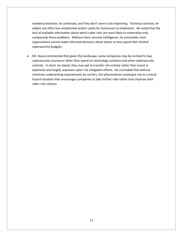needed protection, he continued, and they don't seem to be improving. Technical controls, he added, are often too complicated and/or costly for businesses to implement. He noted that the lack of available information about which cyber risks are most likely to materialize only compounds these problems. Without more security intelligence, he concluded, most organizations cannot make informed decisions about where to best spend their limited cybersecurity budgets.

 Mr. Kouns commented that given this landscape, some companies may be inclined to buy cybersecurity insurance rather than spend on technology solutions and other cybersecurity controls. In short, he stated, they may opt to transfer risk entirely rather than invest in expensive and largely unproven cyber risk mitigation efforts. He concluded that without minimum underwriting requirements by carriers, this phenomenon could give rise to a moral hazard situation that encourages companies to take further risks rather than improve their cyber risk cultures.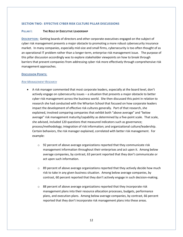## **SECTION TWO: EFFECTIVE CYBER RISK CULTURE PILLAR DISCUSSIONS**

## **PILLAR I: THE ROLE OF EXECUTIVE LEADERSHIP**

**DESCRIPTION:** Getting boards of directors and other corporate executives engaged on the subject of cyber risk management presents a major obstacle to promoting a more robust cybersecurity insurance market. In many companies, especially mid-size and small firms, cybersecurity is too often thought of as an operational IT problem rather than a longer-term, enterprise risk management issue. The purpose of this pillar discussion accordingly was to explore stakeholder viewpoints on how to break through barriers that prevent companies from addressing cyber risk more effectively through comprehensive risk management approaches.

#### **DISCUSSION POINTS:**

#### *RISK MANAGEMENT RESEARCH*

- A risk manager commented that most corporate leaders, especially at the board level, don't actively engage on cybersecurity issues – a situation that presents a major obstacle to better cyber risk management across the business world. She then discussed this point in relation to research she had conducted with the Wharton School that focused on how corporate leaders impact the development of effective risk cultures generally. Part of that research, she explained, involved comparing companies that exhibit both "above average" and "below average" risk management maturity/capability as determined by a five-point scale. That scale, she advised, included 120 questions that measured indicators such as governance; process/methodology; integration of risk information; and organizational culture/leadership. Certain behaviors, the risk manager explained, correlated with better risk management. For example:
	- $\circ$  92 percent of above average organizations reported that they communicate risk management information throughout their enterprises and act upon it. Among below average companies, by contrast, 63 percent reported that they don't communicate or act upon such information.
	- $\circ$  89 percent of above average organizations reported that they actively decide how much risk to take in any given business situation. Among below average companies, by contrast, 60 percent reported that they don't actively engage in such decision-making.
	- o 88 percent of above average organizations reported that they incorporate risk management plans into their resource allocation processes, budgets, performance plans, and execution plans. Among below average companies, by contrast, 66 percent reported that they don't incorporate risk management plans into these areas.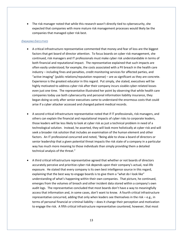The risk manager noted that while this research wasn't directly tied to cybersecurity, she expected that companies with more mature risk management processes would likely be the companies that managed cyber risk best.

## *ENGAGING EXECUTIVES*

- A critical infrastructure representative commented that money and fear of loss are the biggest factors that get board of director attention. To focus boards on cyber risk management, she continued, risk managers and IT professionals must make cyber risk understandable in terms of both financial and reputational impact. The representative explained that such impacts are often easily understood; for example, the costs associated with a PII breach in the health care industry – including fines and penalties, credit monitoring services for affected parties, and "active imaging" (public relations/reputation response) – are as significant as they are concrete. Experience is the greatest educator in this regard. Put simply, she stated, executives will be highly motivated to address cyber risk after their company incurs sizable cyber-related losses even just one time. The representative illustrated her point by observing that while health care companies today use both cybersecurity and personal information liability insurance, they began doing so only after senior executives came to understand the enormous costs that could arise if a cyber attacker accessed and changed patient medical records.
- A second critical infrastructure representative noted that if IT professionals, risk managers, and others can explain the financial and reputational impacts of cyber risks to corporate leaders, those leaders will be less likely to look at cyber risk as just a technical problem in need of a technological solution. Instead, he asserted, they will look more holistically at cyber risk and will seek a broader risk solution that includes an examination of the human element and other factors. An IT professional concurred and noted, "Being able to show a board of directors or senior leadership that a given potential threat impacts the risk state of a company in a particular way has much more meaning to those individuals than simply providing them a detailed technical analysis of the threat."
- A third critical infrastructure representative agreed that whether or not boards of directors accurately perceive and prioritize cyber risk depends upon their company's actual, real-life exposure. He stated that every company is its own best intelligence source in this regard, explaining that the best way to engage boards is to give them a "what do I look like" understanding of what's happening within their own companies. That picture, he continued, emerges from the volumes of breach and other incident data stored within a company's own audit logs. The representative concluded that most boards don't have a way to meaningfully access that information and, in some cases, don't want to know. A fourth critical infrastructure representative concurred, adding that only when leaders see themselves in the risk – e.g., in terms of personal financial or criminal liability – does it change their perception and motivation to engage the risk. A fifth critical infrastructure representative countered, however, that most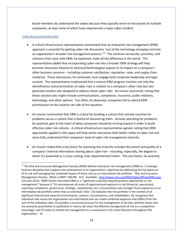board members do understand the stakes because they typically serve on the boards of multiple companies, at least some of which have experienced a major cyber incident.

# *CYBER RISK AS ENTERPRISE RISK*

 $\overline{\phantom{a}}$ 

- A critical infrastructure representative commented that an enterprise risk management (ERM) approach is essential for getting cyber risk discussions "out of the technology stovepipe and into an organization's broader risk management process."<sup>11</sup> The common vernacular, priorities, and solutions that come with ERM, he explained, make all the difference in the world. The representative added that incorporating cyber risk into a broader ERM strategy will help promote discussion beyond its technical/technological aspects to its impact on a company's other business concerns – including customer satisfaction, reputation, sales, and supply chain resilience. Those discussions, he continued, must engage both corporate leadership and legal counsel. The representative emphasized that a mature ERM program involves not only the identification and prioritization of cyber risks in relation to a company's other risks but also potential solution sets designed to address those cyber risks. An insurer concurred, noting that those solution sets might include communications, compliance, insurance, public relations, technology, and other options. Too often, he observed, companies fail to extend ERM prioritization to the solution set side of the equation.
- An insurer commented that ERM is critical for building a culture that actively searches for problems versus a culture that is fearful of discovering them. Actively searching for problems, he asserted, gets to the heart of what companies should be striving toward in order to build effective cyber risk cultures. A critical infrastructure representative agreed, noting that ERM approaches applied in this space will help senior executives both better relate to cyber risk and more fully understand their company's level of cyber risk management maturity.
- An insurer stated that a key factor for assessing this maturity includes the extent and quality of a company's internal information sharing about cyber risk – including, especially, the degree to which it's examined as a cross-cutting, inter-departmental matter. This one factor, he asserted,

 $11$  The Risk and Insurance Management Society (RIMS) defines enterprise risk management (ERM) as "a strategic business discipline that supports the achievement of an organization's objectives by addressing the full spectrum of its risk and managing the combined impact of those risks as an interrelated risk portfolio." Risk and Insurance Management Society. *What is ERM?* ONLINE. N.D. Available: <http://www.rims.org/ERM/Pages/WhatisERM.aspx> [10 June 2013]. RIMS further described ERM as a "significant evolution beyond previous approaches to risk management" because it "(1) encompasses all areas of organizational exposure to risk (financial, operational, reporting, compliance, governance, strategic, reputational, etc.); (2) prioritizes and manages those exposures as an interrelated risk portfolio rather than as individual 'silos'; (3) evaluates the risk portfolio in the context of all significant internal and external environments, systems, circumstances, and stakeholders; (4) recognizes that individual risks across the organization are interrelated and can create combined exposure that differs from the sum of the individual risks; (5) provides a structured process for the management of all risks, whether those risks are primarily quantitative or qualitative in nature; (6) views the effective management of risk as a competitive advantage; and (7) seeks to embed risk management as a component in all critical decisions throughout the organization." *Id*.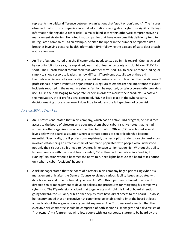represents the critical difference between organizations that "get it or don't get it." The insurer observed that in most companies, internal information sharing about cyber risk significantly lags information sharing about other risks – a major blind spot within otherwise comprehensive risk management strategies. He noted that companies that have overcome this deficiency tend to be regulated companies. As an example, he cited the uptick in the number of reported data breaches involving personal health information (PHI) following the passage of state data breach notification laws.

 An IT professional noted that the IT community needs to step up in this regard. One tactic used by security folks for years, he explained, was that of fear, uncertainty and doubt – or "FUD" for short. The IT professional commented that whether they used FUD to procure more funding, or simply to show corporate leadership how difficult IT problems actually were, they did themselves a disservice by not casting cyber risk in business terms. He added that he still sees IT professionals in some immature organizations using FUD to emphasize the importance of cyber incidents reported in the news. In a similar fashion, he reported, certain cybersecurity providers use FUD in their messaging to corporate leaders in order to market their products. Whatever the motivation, the IT professional concluded, FUD has little place in the cybersecurity decision-making process because it does little to address the full spectrum of cyber risk.

#### *APPLYING ERM TO CYBER RISK*

- An IT professional stated that in his company, which has an active ERM program, he has direct access to the board of directors and educates them about cyber risk. He noted that he had worked in other organizations where the Chief Information Officer (CIO) was buried several levels below the board, a situation where alternate routes to senior leadership became essential. Specifically, the IT professional explained, the best option under those circumstances involved establishing an effective chain of command populated with people who understood not only the risk but also his need to (eventually) engage senior leadership. Without the ability to communicate with the board, he concluded, CIOs often find themselves in a "red light running" situation where it becomes the norm to run red lights because the board takes notice only when a cyber "accident" happens.
- A risk manager stated that the board of directors in his company began prioritizing cyber risk management only after the General Counsel explained various liability issues associated with data breaches and other potential cyber events. With this input, he continued, the board directed senior management to develop policies and procedures for mitigating his company's cyber risk. The IT professional added that to generate and hold this kind of board attention going forward, the CIO and/or his or her deputy must have direct access to the board. To do so, he recommended that an executive risk committee be established to brief the board at least annually about the organization's cyber risk exposure. The IT professional asserted that the executive risk committee should be comprised of both senior risk managers and a diverse set of "risk owners" – a feature that will allow people with less corporate stature to be heard by the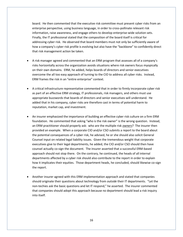board. He then commented that the executive risk committee must present cyber risks from an enterprise perspective, using business language, in order to cross-pollinate relevant risk information, raise awareness, and engage others to develop enterprise-wide solution sets. Finally, the IT professional stated that the composition of the board itself is critical for addressing cyber risk. He observed that board members must not only be sufficiently aware of how a company's cyber risk profile is evolving but also have the "backbone" to confidently direct that risk management action be taken.

- A risk manager agreed and commented that an ERM program that assesses all of a company's risks horizontally across the organization avoids situations where risk owners focus myopically on their own domains. ERM, he added, helps boards of directors and senior executives overcome the all too easy approach of turning to the CIO to address all cyber risks. Instead, ERM frames the risk in an "entire enterprise" context.
- A critical infrastructure representative commented that in order to firmly incorporate cyber risk as part of an effective ERM strategy, IT professionals, risk managers, and others must use appropriate buzzwords that boards of directors and senior executives will understand. He added that in his company, cyber risks are therefore cast in terms of potential harm to reputation, market cap, and investment.
- An insurer emphasized the importance of building an effective cyber risk culture on a firm ERM foundation. He commented that asking "who is the risk owner" is the wrong question. Instead, an ERM practitioner should properly ask: who are the multiple risk *owners*? The insurer then provided an example. When a corporate CIO and/or CSO submits a report to the board about the potential consequences of a cyber risk, he advised, he or she should also solicit General Counsel input on related legal liability issues. Given the tremendous weight that corporate executives give to their legal departments, he added, the CIO and/or CSO should then have counsel actually co-sign the document. The insurer asserted that a successful ERM-based approach should not stop there. On the contrary, he continued, the heads of all internal departments affected by a cyber risk should also contribute to the report in order to explain how it implicates their equities. Those department heads, he concluded, should likewise co-sign the report.
- Another insurer agreed with this ERM implementation approach and stated that companies should originate their questions about technology from *outside* their IT departments. "Let the non-techies ask the basic questions and let IT respond," he asserted. The insurer commented that companies should adopt this approach because no department should lead a risk inquiry into itself.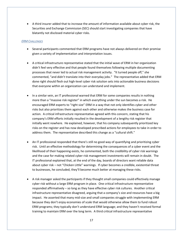A third insurer added that to increase the amount of information available about cyber risk, the Securities and Exchange Commission (SEC) should start investigating companies that have blatantly not disclosed material cyber risks.

## *ERM CHALLENGES*

- Several participants commented that ERM programs have not always delivered on their promise given a variety of implementation and interpretation issues.
- A critical infrastructure representative stated that the initial wave of ERM in her organization didn't feel very effective and that people found themselves following multiple documenting processes that never led to actual risk management activity. "It turned people off," she commented, "and didn't translate into their everyday jobs." The representative added that ERM done right should flesh out high-level cyber risk solution sets into actionable business decisions that everyone within an organization can understand and implement.
- In a similar vein, an IT professional warned that ERM for some companies results in nothing more than a "massive risk register" in which everything under the sun becomes a risk. He encouraged ERM experts to "right size" ERM in a way that not only identifies cyber and other risks but also prioritizes them against each other and otherwise makes the business case for action. A critical infrastructure representative agreed with this concern, stating that his company's ERM efforts initially resulted in the development of a lengthy risk register that initially went nowhere. He explained, however, that his company subsequently prioritized key risks on the register and has now developed prescribed actions for employees to take in order to address them. The representative described this change as a "cultural shift."
- An IT professional responded that there's still no good way of quantifying and prioritizing cyber risk. Until an effective methodology for determining the consequences of a cyber event and the likelihood of their happening exists, he commented, both the credibility of cyber risk warnings and the case for making related cyber risk management investments will remain in doubt. The IT professional explained that, at the end of the day, boards of directors want reliable data about cyber risk – not "Chicken Little" warnings. If cyber becomes a credible, existential threat to businesses, he concluded, they'll become much better at managing these risks.
- A risk manager asked the participants if they thought small companies could effectively manage cyber risk without a large ERM program in place. One critical infrastructure representative responded affirmatively – so long as they have effective cyber risk cultures. Another critical infrastructure representative disagreed, arguing that a company's size and resources have a big impact. He asserted that many mid-size and small companies struggle with implementing ERM because they don't enjoy economies of scale that would otherwise allow them to fund robust ERM programs; they typically don't understand ERM language; and they haven't received formal training to maintain ERM over the long term. A third critical infrastructure representative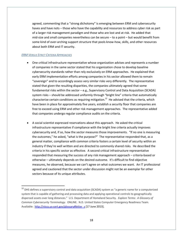agreed, commenting that a "strong dichotomy" is emerging between ERM and cybersecurity haves and have nots – those who have the capability and resources to address cyber risk as part of a larger risk management paradigm and those who are lost and at risk. He added that mid-size and small companies nevertheless can be secure – to a point – but would benefit from some kind of over-arching support structure that pools know-how, skills, and other resources about both ERM and IT security.

## *ERM VERSUS STRICT CRITERIA APPROACHES*

 $\overline{\phantom{a}}$ 

- One critical infrastructure representative whose organization advises and represents a number of companies in the same sector stated that his organization chose to develop baseline cybersecurity standards rather than rely exclusively on ERM approaches. He explained that early ERM implementation efforts among companies in his sector allowed them to remain "sovereign" and to accordingly assess very similar risks very differently. The representative stated that given the resulting disparities, the companies ultimately agreed that some fundamental risks within the sector – e.g., Supervisory Control and Data Acquisition (SCADA) system risks – should be addressed uniformly through "bright line" criteria that automatically characterize certain conditions as requiring mitigation.<sup>12</sup> He advised that the criteria, which have been in place for approximately five years, establish a security floor that companies are free to exceed using ERM and other risk management approaches. The representative added that companies undergo regular compliance audits on the criteria.
- A social scientist expressed reservations about this approach. He asked the critical infrastructure representative if compliance with the bright line criteria actually improves cybersecurity and, if so, how the sector measures those improvements. "If no one is measuring the outcomes," he asked, "what is the purpose?" The representative responded that, as a general matter, compliance with common criteria fosters a certain level of security within an industry if they're well written and are directed to commonly shared risks. He described the criteria in his specific sector as effective. A second critical infrastructure representative responded that measuring the success of any risk management approach – criteria-based or otherwise – ultimately depends on the desired outcome. It's difficult to find objective measures, he observed, because we can't agree on what outcomes we want. An IT professional agreed and cautioned that the sector under discussion might not be an exemplar for other sectors because of its unique attributes.

<sup>&</sup>lt;sup>12</sup> DHS defines a supervisory control and data acquisition (SCADA) system as "a generic name for a computerized system that is capable of gathering and processing data and applying operational controls to geographically dispersed assets over long distances." U.S. Department of Homeland Security. *Explore Terms: A Glossary of Common Cybersecurity Terminology*. ONLINE. N.D. United States Computer Emergency Readiness Team. Available: [http://niccs.us-cert.gov/glossary#letter\\_s](http://niccs.us-cert.gov/glossary#letter_s) [17 June 2013].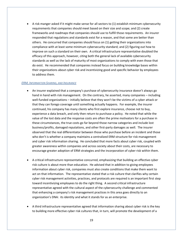A risk manger asked if it might make sense for all sectors to (1) establish minimum cybersecurity requirements that companies should meet based on their size and scope; and (2) create frameworks and roadmaps that companies should use to fulfill those requirements. An insurer responded that regulations and standards exist for a reason, and that some are better than others. He concurred that companies should focus on (1) getting their organizations into compliance with at least some minimum cybersecurity standard; and (2) figuring out how to improve on such a standard on their own. A critical infrastructure representative doubted the efficacy of this approach, however, citing both the general lack of available cybersecurity standards as well as the lack of maturity of most organizations to comply with even those that do exist. He recommended that companies instead focus on building knowledge bases within their organizations about cyber risk and incentivizing good and specific behavior by employees to address them.

#### *ERM, INFORMATION SHARING, AND INSURANCE*

- An insurer explained that a company's purchase of cybersecurity insurance doesn't always go hand in hand with risk management. On the contrary, he asserted, many companies – including well-funded organizations – initially believe that they won't be the victims of a cyber attack or that they can forego coverage until something actually happens. For example, the insurer continued, his company has many clients who first explore insurance, choose not to buy, experience a data breach, and only then return to purchase a policy. He noted that while the value of the lost data and the response costs are often the prime motivators for a purchase in these circumstances, the true costs go far beyond those narrow categories and include lost business/profits, damaged reputations, and other first-party damages as well. The insurer observed that the real differentiator between those who purchase before an incident and those who don't is whether a company maintains a centralized ERM structure for risk management and cyber risk information sharing. He concluded that more facts about cyber risk, coupled with greater awareness within companies and across society about their costs, are necessary to encourage greater adoption of ERM strategies and the incorporation of cyber risk within them.
- A critical infrastructure representative concurred, emphasizing that building an effective cyber risk culture is about more than education. He advised that in addition to giving employees information about cyber risk, companies must also create conditions that make them want to act on that information. The representative stated that a risk culture that clarifies why certain cyber risk management activities, practices, and protocols are required is an important first step toward incentivizing employees to do the right thing. A second critical infrastructure representative agreed with the cultural aspect of the cybersecurity challenge and commented that enhancing a company's risk management practices in this area goes directly to an organization's DNA: its identity and what it stands for as an enterprise.
- A third infrastructure representative agreed that information sharing about cyber risk is the key to building more effective cyber risk cultures that, in turn, will promote the development of a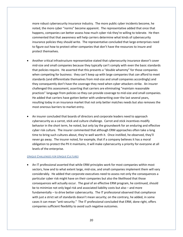more robust cybersecurity insurance industry. The more public cyber incidents become, he noted, the more cyber "norms" become apparent. The representative added that once that happens, companies can better assess how much cyber risk they're willing to tolerate. He then commented that that awareness will help carriers determine what kinds of cybersecurity insurance policies they should write. The representative concluded that large enterprises need to figure out how to protect other companies that don't have the resources to insure and protect themselves.

- Another critical infrastructure representative stated that cybersecurity insurance doesn't cover mid-size and small companies because they typically can't comply with even the basic standards that policies require. He asserted that this presents a "double whammy" for those companies when competing for business: they can't keep up with large companies that *can* afford to meet standards (and differentiate themselves from mid-size and small companies accordingly) and they consequently don't have the coverage they need when cyber attackers strike. An insurer challenged this assessment, asserting that carriers are eliminating "maintain reasonable practices" language from policies so they can provide coverage to mid-size and small companies. He added that carriers have gotten better with underwriting over the last several years, resulting today in an insurance market that not only better matches needs but also removes the most onerous barriers to market entry.
- An insurer concluded that boards of directors and corporate leaders need to approach cybersecurity as a carrot, stick and culture challenge. Carrot and stick incentives modify behavior in the short term, he noted, but only lay the groundwork for an enduring and effective cyber risk culture. The insurer commented that although ERM approaches often take a long time to bring such cultures about, they're well worth it. Once instilled, he observed, they'll never go away. The insurer noted, for example, that if a company believes it has a moral obligation to protect the PII it maintains, it will make cybersecurity a priority for everyone at all levels of the enterprise.

#### *UNIQUE CHALLENGES FOR UNIQUE CULTURES*

 An IT professional asserted that while ERM principles work for most companies within most sectors, how and to what extent large, mid-size, and small companies implement them will vary considerably. He added that corporate executives need to assess not only the consequences a particular cyber risk might have on their companies but also the likelihood that those consequences will actually occur. The goal of an effective ERM program, he continued, should be to minimize not only legal risk and associated liability costs but also – and more fundamentally – to drive better cybersecurity. The IT professional observed that compliance with just a strict set of standards doesn't mean security; on the contrary, he added, in some cases it can mean "anti-security." The IT professional concluded that ERM, done right, offers companies sufficient flexibility to avoid such negative outcomes.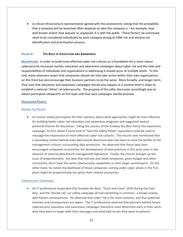A critical infrastructure representative agreed with this assessment, noting that the probability that a company will be breached often depends on who the company is – for example, how well-known and/or how popular or unpopular it is with the public. These factors, he continued, need to be considered individually by each company during its ERM risk and solution set identification and prioritization process.

# **PILLAR II: THE ROLE OF EDUCATION AND AWARENESS**

**DESCRIPTION:** In order to build more effective cyber risk cultures as a foundation for a more robust cybersecurity insurance market, education and awareness campaigns about cyber risk and the roles and responsibilities of individuals and organizations in addressing it should occur at multiple levels. To this end, many observers assert that companies should not only take action within their own organizations on this front but also encourage their business partners to do the same. More broadly, and longer-term, they note that education and awareness campaigns should also happen at a societal level in order to establish a national "ethos" of cybersecurity. The purpose of this pillar discussion accordingly was to obtain participant viewpoints on this topic and how such campaigns should proceed.

## **DISCUSSION POINTS:**

## *RAISING THE PROFILE*

 An insurer asked participants for their opinions about what approaches might be most effective for building better cyber risk education and awareness programs and suggested several potential themes for discussion. Citing the success of the Smokey the Bear forest fire awareness campaign, he first asked if some kind of "Sam the Safety Robot" equivalent could be used to message the importance of more effective cyber risk cultures. The insurer next mentioned that a secondary motive behind state data breach disclosure laws had been to raise the profile of risk management cultures surrounding data protection. He observed that those laws have encouraged companies to prioritize the development of best practices in this area, even in the absence of national data breach management legislation. Finally, the insurer brought up the issue of proportionality: the idea that mid-size and small companies, given budget and other constraints, don't have the same cybersecurity capabilities as their larger counterparts. On the other hand, he noted, the likelihood of those companies coming under cyber attack in the first place might be proportionally less given their relative anonymity.

# *CYBERSECURITY CAMPAIGNS*

 An IT professional responded that Smokey the Bear, "Duck and Cover" drills during the Cold War, and the "Buckle Up" car safety campaign all had something in common: a known enemy with known consequences. He observed that cyber risk is far more systemic, and that potential enemies and consequences are legion. The IT professional asserted that planners behind future cybersecurity education and awareness campaigns therefore must determine early in their work who they want to target with their messages and what bad results they want to prevent.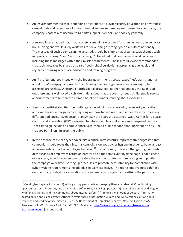- An insurer commented that, depending on its sponsor, a cybersecurity education and awareness campaign should target one of three potential audiences: employees internal to a company; the company's potentially insecure third party suppliers/vendors; and society generally.
- A second insurer added that in our society, campaigns work well for changing negative behavior like smoking and would likely work well for developing a strong cyber risk culture nationally. The message of such a campaign, he asserted, should be simple – addressing basic themes such as "privacy by design" and "security by design." He added that companies should consider including these messages within their mission statements. The insurer likewise recommended that such messages be shared as part of both school curriculums across all grade levels and regularly occurring workplace education and training programs.
- An IT professional took issue with the federal government's broad-based "let's train grandma about cyber" campaign approach. Such Smokey the Bear-type awareness campaigns, he asserted, are useless. A second IT professional disagreed, noting that Smokey the Bear is still out there and is well-loved by children. He argued that the country needs similar public service announcements to help create a broad baseline of understanding about cyber risk.
- A social scientist stated that the challenge of developing a successful cybersecurity education and awareness campaign involves figuring out how to best reach and appeal to sometimes very different audiences. Even better than Smokey the Bear, she observed, was a Center for Disease Control and Prevention (CDC) campaign to inform people about emergency preparedness kits. That campaign included a zombie apocalypse-themed public service announcement on YouTube that got 50 million hits from the public.
- In the absence of a clear cyber adversary, a critical infrastructure representative suggested that companies should focus their internal campaigns on good cyber hygiene in order to have at least an incremental impact on employee behavior.<sup>13</sup> He cautioned, however, that getting hundreds of thousands of employees across an enterprise on the same cyber hygiene page is not a cheap or easy task, especially when one considers the costs associated with repeating and updating the campaign over time. Setting up processes to promote accountability for compliance with cyber hygiene requirements, he added, is equally expensive. The representative noted that his own company budgets for education and awareness campaigns by prioritizing the particular

l

<sup>&</sup>lt;sup>13</sup> Good cyber hygiene includes: (1) setting strong passwords and keeping them confidential; (2) optimizing operating systems, browsers, and other critical software by installing updates; (3) maintaining an open dialogue with family, friends, and the community about Internet safety; (4) limiting the amount of personal information posted online and using privacy settings to avoid sharing information widely; and (5) exercising caution about receiving and reading online material. *See* U.S. Department of Homeland Security. *National Cybersecurity Awareness Month: Do Your Part*. ONLINE. N.D. Available: [http://www.dhs.gov/national-cyber-security](http://www.dhs.gov/national-cyber-security-awareness-month)[awareness-month](http://www.dhs.gov/national-cyber-security-awareness-month) [11 June 2013].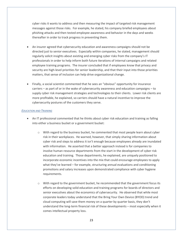cyber risks it wants to address and then measuring the impact of targeted risk management messages against those risks. For example, he stated, his company briefed employees about phishing attacks and then tested employee awareness and behavior in the days and weeks thereafter in order to track progress in preventing them.

- An insurer agreed that cybersecurity education and awareness campaigns should not be directed just to senior executives. Especially within companies, he stated, management should regularly solicit insights about existing and emerging cyber risks from the company's IT professionals in order to help inform both future iterations of internal campaigns and related employee training programs. The insurer concluded that if employees know that privacy and security are high-level priorities for senior leadership, and that their input into those priorities matters, that sense of inclusion can help drive organizational change.
- Finally, a social scientist commented that he sees an "obvious" opportunity for insurance carriers – as part of or in the wake of cybersecurity awareness and education campaigns – to supply cyber risk management strategies and technologies to their clients. Lower risk clients are more profitable, he explained, so carriers should have a natural incentive to improve the cybersecurity postures of the customers they serve.

## *EDUCATION AND TRAINING*

- An IT professional commented that he thinks about cyber risk education and training as falling into either a business bucket or a government bucket:
	- $\circ$  With regard to the business bucket, he commented that most people learn about cyber risk in their workplaces. He warned, however, that simply sharing information about cyber risk and steps to address it isn't enough because employees already are inundated with information. He asserted that a better approach instead is for companies to involve human resource departments from the start in the development of cyber risk education and training. Those departments, he explained, are uniquely positioned to incorporate economic incentives into the mix that could encourage employees to apply what they've learned – for example, structuring annual evaluations and conditioning promotions and salary increases upon demonstrated compliance with cyber hygiene requirements.
	- $\circ$  With regard to the government bucket, he recommended that the government focus its efforts on developing solid education and training programs for boards of directors and senior executives about the economics of cybersecurity. He observed that while most corporate leaders today understand that the Bring Your Own Device (BYOD) trend and cloud computing will save them money on a quarter by quarter basis, they don't understand the long-term financial risk of these developments – most especially when it comes intellectual property loss.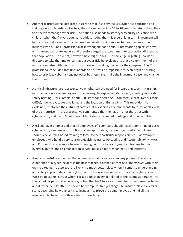- Another IT professional disagreed, asserting that if society focuses cyber risk education and training only on boards of directors, then the nation will be 15 to 20 years too late in the culture to effectively manage cyber risk. The nation also needs to start cybersecurity education with children when they're very young, he added, noting that this type of long-term investment will help ensure that cybersecurity becomes ingrained in children long before they enter the business world. The IT professional acknowledged that a serious information gap exists now with current corporate leaders and therefore urged the government to take action directed at that population. He did not, however, have high hopes. The challenge in getting boards of directors to take the time to learn about cyber risk, he explained, is that a commitment of this nature competes with the board's main concern: making money for the company. The IT professional concluded that until boards do so, it will be impossible to even begin discussing how to prioritize cyber risk against other business risks, make the investment case, and change the culture.
- A critical infrastructure representative emphasized the need for integrating cyber risk training into the daily work of employees. His company, he explained, starts every meeting with a short safety briefing – for example, about CPR, steps for operating Automated External Defibrillators (AEDs), how to evacuate a building, and the location of first aid kits. This repetition, he explained, reinforces the culture of safety that his senior leadership wants to foster at all levels of the enterprise. The representative commented that the nation is not there yet with cybersecurity and it won't get there without similar repeated briefings and other activities.
- A risk manager emphasized that all employees of a company should receive some kind of basic cybersecurity awareness instruction. When appropriate, he continued, certain employees should receive roles-based training tailored to their particular responsibilities. For example, employees who handle very sensitive Health Insurance Portability and Accountability (HIPAA) and PII should receive more focused training on those topics. Tying such training to their everyday duties, the risk manager observed, makes it more meaningful and effective.
- A social scientist commented that no matter what training a company pursues, the actual experience of a cyber incident is the best teacher. Companies that hack themselves with their own red teams, he asserted, are likely in a much better place when it comes to understanding and acting appropriately upon cyber risk. He likewise recounted a story about cyber-trained West Point cadets, 80% of whom clicked a phishing email related to their semester grades. He then cited his personal experience, noting that his 18-year-old daughter is much smarter today about cybersecurity after he hacked her computer five years ago. An insurer relayed a similar story, describing how one of his colleagues – to prove the point – moved and hid all the unsecured laptops in his office after business hours.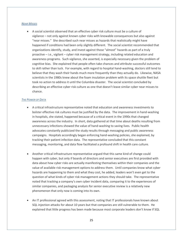#### *NEAR MISSES*

 A social scientist observed that an effective cyber risk culture must be a culture of vigilance – not only against known cyber risks with knowable consequences but also against "near misses." She described such near misses as hazards that realistically might have happened if conditions had been only slightly different. The social scientist recommended that organizations identify, study, and invest against those "almost" hazards as part of a truly proactive – i.e., vigilant – cyber risk management strategy, including related education and awareness programs. Such vigilance, she asserted, is especially necessary given the problem of cognitive bias. She explained that people often take chances and attribute successful outcomes to skill rather than luck. For example, with regard to hospital hand-washing, doctors still tend to believe that they wash their hands much more frequently than they actually do. Likewise, NASA scientists in the 1980s knew about the foam insulation problem with its space shuttle fleet but took no action to address it until the Columbia disaster. The social scientist concluded by describing an effective cyber risk culture as one that doesn't leave similar cyber near misses to chance.

#### *THE POWER OF DATA*

- A critical infrastructure representative noted that education and awareness investments to bolster effective risk cultures must be justified by the data. The improvement in hand-washing in hospitals, she stated, happened because of a critical event in the 1990s that changed awareness across the industry. In short, data gathered at that time about deaths resulting from unnecessary infections showed the value of hand-washing to saving lives. Public health advocates constantly publicized the study results through messaging and public awareness campaigns. Hospitals accordingly began enforcing hand-washing policies, she explained, by tracking their patient infection data. The representative concluded that this constant messaging, monitoring, and data flow facilitated a profound shift in health care culture.
- Another critical infrastructure representative argued that this same kind of change could happen with cyber, but only if boards of directors and senior executives are first provided with data about how cyber risks are actually manifesting themselves within their companies and the value of available risk management options to address them. Until companies know what cyber hazards are happening to them and what they cost, he added, leaders won't even get to the question of what kinds of cyber risk management actions they should take. The representative noted that tracking a company's own cyber incident data, comparing it to the experiences of similar companies, and packaging analysis for senior executive review is a relatively new phenomenon that only now is coming into its own.
- An IT professional agreed with this assessment, noting that IT professionals have known about SQL injection attacks for about 10 years but that companies are still vulnerable to them. He explained that little progress has been made because most corporate leaders don't know if SQL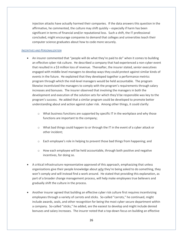injection attacks have actually harmed their companies. If the data answers this question in the affirmative, he commented, the culture may shift quickly – especially if harm has been significant in terms of financial and/or reputational loss. Such a shift, the IT professional concluded, might encourage companies to demand that colleges and universities teach their computer science graduates about how to code more securely.

## *INCENTIVES AND PERSONALIZATION*

- An insurer commented that "people will do what they're paid to do" when it comes to building an effective cyber risk culture. He described a company that had experienced a non-cyber event that resulted in a \$3 million loss of revenue. Thereafter, the insurer stated, senior executives engaged with middle-level managers to develop ways they could protect against similar kinds of events in the future. He explained that they developed together a performance metrics program through which the mid-level managers would be held accountable. The program likewise incentivized the managers to comply with the program's requirements through salary increases and bonuses. The insurer observed that involving the managers in both the development and execution of the solution sets for which they'd be responsible was key to the program's success. He added that a similar program could be developed to promote better understanding about and action against cyber risk. Among other things, it could clarify:
	- $\circ$  What business functions are supported by specific IT in the workplace and why those functions are important to the company;
	- $\circ$  What bad things could happen to or through the IT in the event of a cyber attack or other incident;
	- o Each employee's role in helping to prevent those bad things from happening; and
	- $\circ$  How each employee will be held accountable, through both positive and negative incentives, for doing so.
- A critical infrastructure representative approved of this approach, emphasizing that unless organizations give their people knowledge about *why* they're being asked to do something, they won't comply and will instead find a work around. He stated that providing this explanation, as part of a broader change management process, will help make employees true believers and gradually shift the culture in the process.
- Another insurer agreed that building an effective cyber risk culture first requires incentivizing employees through a variety of carrots and sticks. So-called "carrots," he continued, might include awards, seals, and other recognition for being the most cyber secure department within a company. So-called "sticks," he added, are the easiest to develop and might include denied bonuses and salary increases. The insurer noted that a top-down focus on building an effective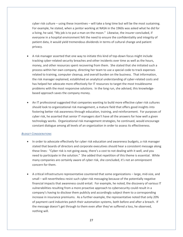cyber risk culture – using these incentives – will take a long time but will be the most sustaining. For example, he stated, when a janitor working at NASA in the 1960s was asked what he did for a living, he said, "My job is to put a man on the moon." Likewise, the insurer concluded, if everyone in a hospital environment felt the need to ensure the confidentiality and integrity of patient data, it would yield tremendous dividends in terms of cultural change and patient privacy.

- A risk manager asserted that one way to initiate this kind of top-down focus might include tracking cyber-related security breaches and other incidents over time as well as the hours, money, and other resources spent recovering from them. She stated that she initiated such a process within her own company, directing her team to use a special code to track expenses related to training, computer cleanup, and overall burden on the business. That information, the risk manager explained, established an analytical understanding of cyber-related costs and has helped her advocate more effectively for IT resources to target the most troublesome problems with the most responsive solutions. In the long run, she advised, this knowledgebased approach saves the company money.
- An IT professional suggested that companies wanting to build more effective cyber risk cultures should look to organizational risk management, a mature field that offers good insights into fostering better risk awareness through education, training, and reinforcement. For purposes of cyber risk, he asserted that senior IT managers don't have all the answers for how well a given technology works. Organizational risk management strategies, he continued, would encourage constant dialogue among all levels of an organization in order to assess its effectiveness.

## *BUDGET CONSIDERATIONS*

- In order to advocate effectively for cyber risk education and awareness budgets, a risk manager stated that boards of directors and corporate executives should hear a consistent message along these lines: "Cyber risk is not going away, there's a cost to not dealing with it well, and you need to participate in the solution." She added that repetition of this theme is essential. While many companies are certainly aware of cyber risk, she concluded, it's not an omnipresent concern for them.
- A critical infrastructure representative countered that some organizations large, mid-size, and small – will nevertheless resist such cyber risk messaging because of the potentially negative financial impacts that awareness could entail. For example, he noted, the discovery of various IT vulnerabilities resulting from a more proactive approach to cybersecurity could result in a company's having to disclose them publicly and accordingly subject them to a corresponding increase in insurance premiums. As a further example, the representative noted that only 20% of payment card industries patch their automation systems, both before and after a breach. If the message doesn't get through to them even after they've suffered a loss, he observed, nothing will.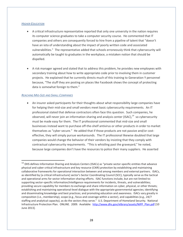#### *HIGHER EDUCATION*

- A critical infrastructure representative reported that only one university in the nation requires its computer science graduates to take a computer security course. He commented that IT companies and others are consequently forced to hire from a pipeline of talent that "doesn't have an iota of understanding about the impact of poorly written code and associated vulnerabilities." The representative added that schools erroneously think that cybersecurity will automatically be taught to graduates in the workplace, a mistaken notion that should be dispelled.
- A risk manager agreed and stated that to address this problem, he provides new employees with secondary training about how to write appropriate code prior to involving them in customer projects. He explained that he currently directs much of this training to Generation Y personnel because, "The stuff they are posting on places like Facebook shows the concept of protecting data is somewhat foreign to them."

## *REACHING MID-SIZE AND SMALL COMPANIES*

 $\overline{\phantom{a}}$ 

 An insurer asked participants for their thoughts about what responsibility large companies have for helping their mid-size and small vendors meet basic cybersecurity requirements. An IT professional stated that defense contractors often face this question. Such companies, he observed, will never join an information sharing and analysis center (ISAC),<sup>14</sup> so cybersecurity must be made easy for them. The IT professional commented that mid-size and small businesses instead want to purchase off-the-shelf antivirus or other products in order to market themselves as "cyber secure." He added that if those products are not passive and/or costeffective, they will simply pursue workarounds. The IT professional likewise doubted that large companies would change the behavior of their vendors by insisting that they comply with contractual cybersecurity requirements. "This is whistling past the graveyard," he noted, because large companies don't have the resources to police their many suppliers. He asserted

<sup>&</sup>lt;sup>14</sup> DHS defines Information Sharing and Analysis Centers (ISACs) as "private sector-specific entities that advance physical and cyber critical infrastructure and key resource (CIKR) protection by establishing and maintaining collaborative frameworks for operational interaction between and among members and external partners. ISACs, as identified by [a critical infrastructure] sector's Sector Coordinating Council (SCC), typically serve as the tactical and operational arms for sector information-sharing efforts. ISAC functions include, but are not limited to: supporting sector-specific information/intelligence requirements for incidents, threats, and vulnerabilities; providing secure capability for members to exchange and share information on cyber, physical, or other threats; establishing and maintaining operational-level dialogue with the appropriate governmental agencies; identifying and disseminating knowledge and best practices; and promoting education and awareness. ISACs vary greatly in composition (i.e., membership), scope (e.g., focus and coverage within a sector), and capabilities (e.g., 24/7 staffing and analytical capacity), as do the sectors they serve." U.S. Department of Homeland Security. National Infrastructure Protection Plan. ONLINE. 2009. Available: [http://www.dhs.gov/xlibrary/assets/NIPP\\_Plan.pdf](http://www.dhs.gov/xlibrary/assets/NIPP_Plan.pdf) [10 June 2013].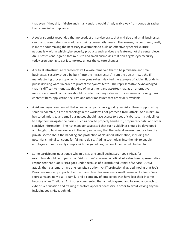that even if they did, mid-size and small vendors would simply walk away from contracts rather than come into compliance.

- A social scientist responded that no product or service exists that mid-size and small businesses can buy to comprehensively address their cybersecurity needs. The answer, he continued, really is more about making the necessary investments to build an effective cyber risk culture nationally – within which cybersecurity products and services are features, not the centerpiece. An IT professional agreed that mid-size and small businesses that don't "get" cybersecurity today aren't going to get it tomorrow unless the culture changes.
- A critical infrastructure representative likewise remarked that to help mid-size and small businesses, security should be built "into the infrastructure" from the outset – e.g., the IT manufacturing process upon which everyone relies. He cited the example of adding fluoride to public drinking water in order to protect everyone's teeth. The representative acknowledged that it's difficult to monetize this kind of investment and asserted that, as an alternative, mid-size and small companies should consider pursuing cybersecurity awareness training, basic content filters, application security, and other measures that are widely available.
- A risk manager commented that unless a company has a good cyber risk culture, supported by senior leadership, all the technology in the world will not protect it from attack. At a minimum, he stated, mid-size and small businesses should have access to a set of cybersecurity guidelines to help them navigate the basics, such as how to properly handle PII, proprietary data, and other sensitive information. The risk manager suggested that such guidelines should be developed and taught to business owners in the very same way that the federal government teaches the private sector about the handling and protection of classified information, including the potential criminal sanctions for failing to do so. Adding technology into the mix to enable employees to more easily comply with the guidelines, he concluded, would be helpful.
- Some participants questioned why mid-size and small businesses Joe's Pizza, for example – should be of particular "risk culture" concern. A critical infrastructure representative responded that if Joe's Pizza goes under because of a Distributed Denial of Service (DDoS) attack, then customers have one less pizza option. An IT professional agreed, noting that Joe's Pizza becomes very important at the macro level because every small business like Joe's Pizza represents an individual, a family, and a company of employees that have lost their income because of an IT failure. An insurer commented that a multi-layered and tailored approach to cyber risk education and training therefore appears necessary in order to avoid leaving anyone, including Joe's Pizza, behind.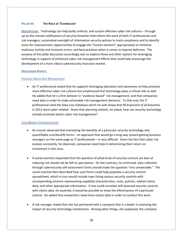## **PILLAR III: THE ROLE OF TECHNOLOGY**

**DESCRIPTION:** Technology can help build, enforce, and sustain effective cyber risk cultures – through up-to-the minute notifications of security breaches that inform the work of both IT professionals and risk managers; automated oversight of information security policies to track compliance and to identify areas for improvement; opportunities to engage the "human element" appropriately to minimize malicious activity and innocent errors; and best practices when it comes to layered defenses. The purpose of this pillar discussion accordingly was to explore these and other options for leveraging technology in support of enhanced cyber risk management efforts that could help encourage the development of a more robust cybersecurity insurance market.

#### **DISCUSSION POINTS:**

#### *EVIDENCE-BASED RISK MANAGEMENT*

 An IT professional stated that he supports leveraging education and awareness to help promote more effective cyber risk cultures but emphasized that technology plays a critical role as well. He added that he's a firm believer in "evidence-based" risk management, and that companies need data in order to make actionable risk management decisions. To that end, the IT professional cited the Data Loss Database which he said shows that 90.8 percent of all breaches in 2012 were cyber-related. Given that alarming statistic, he asked, how can security technology actively promote better cyber risk management?

## *COST/BENEFIT CONSIDERATIONS*

- An insurer observed that translating the benefits of a particular security technology into quantifiable cost/benefit terms – an approach that would go a long way toward getting business managers on the same page as IT professionals – is very difficult. Given the fact that cyber risk evolves constantly, he observed, companies need help in determining their return on investment in this area.
- A social scientist responded that the question of what kinds of security controls are best at reducing risk should not be left to speculation. On the contrary, he continued, data collected through cybersecurity self-assessment forms should make the question "very answerable." The social scientist then described how such forms could help populate a security control spreadsheet, which in turn would include rows listing various security controls with corresponding columns representing capability characteristics, costs, policies, related claims data, and other appropriate information. If one could correlate self-assessed security controls with claims data, he asserted, it would be possible to show the effectiveness of a particular control. He added that researchers need more claims data in order to conduct this work.
- A risk manager stated that she has partnered with a company that is a leader in assessing the impact of security technology investments. Among other things, she explained, the company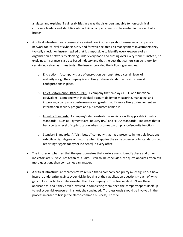analyzes and explains IT vulnerabilities in a way that is understandable to non-technical corporate leaders and identifies who within a company needs to be alerted in the event of a breach.

- A critical infrastructure representative asked how insurers go about assessing a company's network for its level of cybersecurity and for which related risk management investments they typically check. An insurer replied that it's impossible to identify every exposure of an organization's network by "looking under every hood and turning over every stone." Instead, he explained, insurance is a trust-based industry and that the best that carriers can do is look for certain indicators as litmus tests. The insurer provided the following examples:
	- o Encryption. A company's use of encryption demonstrates a certain level of maturity – e.g., the company is also likely to have standard anti-virus firewall configurations in place.
	- $\circ$  Chief Performance Officer (CPO). A company that employs a CPO or a functional equivalent – someone with individual accountability for measuring, managing, and improving a company's performance – suggests that it's more likely to implement an information security program and put resources behind it.
	- $\circ$  Industry Standards. A company's demonstrated compliance with applicable industry standards – such as Payment Card Industry (PCI) and HIPAA standards – indicates that it has a certain level of sophistication when it comes to compliance/security functions.
	- $\circ$  Standard Standards. A "distributed" company that has a presence in multiple locations exhibits a high degree of maturity when it applies the same cybersecurity standards (i.e., reporting triggers for cyber incidents) in every office.
- The insurer emphasized that the questionnaires that carriers use to identify these and other indicators are surveys, not technical audits. Even so, he concluded, the questionnaires often ask more questions than companies can answer.
- A critical infrastructure representative replied that a company can pretty much figure out how insurers underwrite against cyber risk by looking at their application questions – each of which gets to key risk factors. She asserted that if a company's IT professionals don't see these applications, and if they aren't involved in completing them, then the company opens itself up to real cyber risk exposure. In short, she concluded, IT professionals should be involved in the process in order to bridge the all-too-common business/IT divide.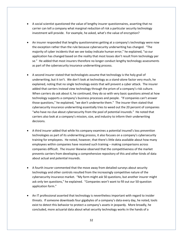- A social scientist questioned the value of lengthy insurer questionnaires, asserting that no carrier can tell a company what marginal reduction of risk a particular security technology investment will provide. For example, he asked, what's the value of encryption?
- An insurer responded that lengthy questionnaires getting at a company's technology were now the exception rather than the rule because cybersecurity underwriting has changed. "The majority of cyber incidents that we see today indicate human error," he explained, "so our application has changed based on the reality that most losses don't result from technology per se." He added that most insurers therefore no longer conduct lengthy technology assessments as part of the cybersecurity insurance underwriting process.
- A second insurer stated that technologists assume that technology is the holy grail of underwriting, but it isn't. We don't look at technology as a stand-alone factor very much, he explained, noting that no single technology exists that will prevent a cyber attack. The insurer added that carriers instead view technology through the prism of a company's risk culture. When carriers do ask about it, he continued, they do so with very basic questions aimed at how technology supports a company's business processes and people. "If companies can't answer those questions," he explained, "we don't underwrite them." The insurer then stated that cybersecurity insurance underwriting essentially tries to weed out the 20 percent of companies "who have no clue about cybersecurity from the pool of potential insureds." He noted that carriers also look at a company's mission, size, and industry to inform their underwriting decisions.
- A third insurer added that while his company examines a potential insured's loss prevention technologies as part of its underwriting process, it also focuses on a company's cybersecurity training for employees. He noted, however, that there's little data available about how many employees within companies have received such training – making comparisons across companies difficult. The insurer likewise observed that the competitiveness of the market prevents carriers from developing a comprehensive repository of this and other kinds of data about actual and potential insureds.
- A fourth insurer commented that the move away from detailed surveys about security technology and other controls resulted from the increasingly competitive nature of the cybersecurity insurance market. "My form might ask 50 questions, but another insurer might ask only ten questions," he explained. "Companies won't want to fill out our 50-question application form."
- An IT professional asserted that technology is nevertheless important with regard to insider threats. If someone downloads four gigabytes of a company's data every day, he noted, tools exist to detect this behavior to protect a company's assets in jeopardy. More broadly, he concluded, more actuarial data about what security technology works in the hands of a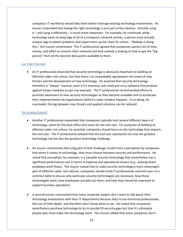company's IT workforce would help them better leverage existing technology investments. An insurer responded that having the right technology is just part of the solution. Actually using it – and using it effectively – is much more important. For example, he continued, while technology exists to keep logs of all of a company's network activity, a person must actually analyze logs to detect problems and report them up the chain for action. "Nobody is doing this," the insurer commented. The IT professional agreed that companies spend a lot of time, money, and effort to monitor their networks but that nobody is looking at how to get the "big picture" from all the discrete data points available to them.

#### *LAG TIME CONCERNS*

 An IT professional observed that security technology is obviously important to building an effective cyber risk culture, but that there's an unavoidable lag between the onset of new threats and the development of new technology. He asserted that security technology therefore is "always" reactive, even if it's essential, and cited anti-virus software that protects against known malware as just one example. The IT professional recommended efforts to promote awareness of new security technologies as they become available and to accelerate their implementation by organizations before a cyber incident happens. In so doing, he concluded, the lag between new threats and applied solutions can be reduced.

#### *THE HUMAN ELEMENT*

- Another IT professional responded that companies typically host several different layers of technology, some for the back office and some for the end user. For purposes of building an effective cyber risk culture, he asserted, companies should focus on the technology that impacts the end user. The IT professional advised that the end user represents not only the greatest technology risk but also the greatest technology challenge.
- An insurer commented that a big part of that challenge results from a perception by companies that when it comes to technology, they must choose between security and performance. He noted that encryption, for example, is a valuable security technology that nevertheless has a significant performance cost in terms of expense and operational impact (e.g., slowing down employee work flows). The insurer stated that to make security technology a more meaningful part of effective cyber risk cultures, companies should invite IT professionals and end users to a common table to discuss why particular security technologies are necessary; how those technologies work; how employees actually use them; and how they should be improved to support business operations.
- A second insurer commented that many corporate leaders don't want to talk about their technology investments with their IT departments because they're non-technical professionals, feel out of their depth, and therefore don't know what to say. He stated that companies nevertheless purchase technology to try to quickly fill security gaps but that it's ultimately people who must make the technology work. The insurer added that some companies don't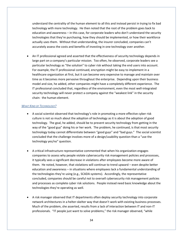understand the centrality of the human element to all this and instead persist in trying to fix bad technology with more technology. He then noted that the root of the problem goes back to education and awareness – in this case, for corporate leaders who don't understand the security technologies that they're purchasing, how they should be implemented, or how their workforce actually uses them. Without that understanding, the insurer concluded, companies can't accurately assess the costs and benefits of investing in one technology over another.

 An IT professional agreed and asserted that the effectiveness of security technology depends in large part on a company's particular mission. Too often, he observed, corporate leaders see a particular technology as "the solution" to cyber risk without taking the end users into account. For example, the IT professional continued, encryption might be easy to implement in a healthcare organization at first, but it can become very expensive to manage and maintain over time as it becomes more pervasive throughout the enterprise. Depending upon their business model and size, he added, other companies might have a completely different experience. The IT professional concluded that, regardless of the environment, even the most well-integrated security technology will never protect a company against the "weakest link" in the security chain: the human element.

#### *WHAT KIND OF TECHNOLOGY?*

- A social scientist observed that technology's role in promoting a more effective cyber risk culture is not so much about the adoption of technology as it is about the adoption of good technology. The goal, he added, should be to prevent security technology from getting in the way of the "good guy" doing his or her work. The problem, he continued, is that most security technology today cannot differentiate between "good guys" and "bad guys." The social scientist concluded that the challenge involves more of a design/usability question than a "use the technology yes/no" question.
- A critical infrastructure representative commented that when his organization engages companies to assess why people violate cybersecurity risk management policies and processes, it typically sees a significant decrease in violations after employees become more aware of them. He noted, however, that violations will continue to trend upward – even despite better education and awareness – in situations where employees lack a fundamental understanding of the technologies they're using (e.g., SCADA systems). Accordingly, the representative concluded, companies should be careful not to oversell cybersecurity risk management policies and processes as complete cyber risk solutions. People instead need basic knowledge about the technologies they're operating as well.
- A risk manager observed that IT departments often deploy security technology into corporate network architectures in a helter-skelter way that doesn't work with existing business processes. Much of the problem, she asserted, results from a lack of interaction between IT and non-IT professionals. "IT people just want to solve problems," the risk manager observed, "while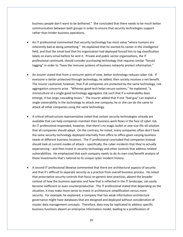business people don't want to be bothered." She concluded that there needs to be much better communication between both groups in order to ensure that security technologies support rather than hinder business operations.

- An IT professional commented that security technology has most value "where humans are inherently bad at doing something." He explained that he started his career in the intelligence field, and that the email tool that his organization had deployed forced him to tag classification labels on every email before he sent it. Private and public sector organizations, the IT professional continued, should consider purchasing technology that requires similar "forced tagging" in order to "have the immune systems of business networks protect information."
- An insurer stated that from a reinsurer point of view, better technology reduces cyber risk. If everyone is better protected through technology, he added, then society receives a net benefit. The insurer cautioned, however, that if all companies are protected by the same technology, risk aggregation concerns arise. "Whereas good tech helps secure systems," he explained, "a monoculture of a single good technology aggregates risk such that if a vulnerability does emerge, it has large, cascading losses." The insurer added that if one "bad guy" can exploit a single vulnerability in the technology to attack one company, he or she can do the same to attack all other companies using the same technology.
- A critical infrastructure representative noted that certain security technologies already are available that can help companies maintain their business work flows in the face of cyber risk. An IT professional responded, however, that there's no magic bullet or one-size-fits-all solution that all companies should adopt. On the contrary, he noted, many companies often don't have the same security technology deployed internally from office to office given varying business needs at different business locations. The IT professional concluded that companies instead should look at current modes of attack – specifically, the cyber incidents that they're actually experiencing – and then invest in security technology and other controls that address related vulnerabilities. He emphasized that each company needs to do its own cost/benefit analysis of those investments that's tailored to its unique cyber incident history.
- A second IT professional likewise commented that there are architectural aspects of security and that it's difficult to separate security as a practice from overall business process. He noted that prescriptive security controls that focus on generic best practices, absent the broader context of how the business operates and how that is reflected in the IT landscape, can easily become inefficient or even counterproductive. The IT professional stated that depending on the situation, it may make more sense to invest in architecture simplification versus more security. For example, he explained, a company that has weak information architecture governance might have databases that are designed and deployed without consideration of master data management concepts. Therefore, data may be replicated to address specific business functions absent an enterprise information model, leading to a proliferation of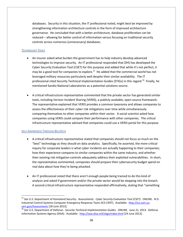databases. Security in this situation, the IT professional noted, might best be improved by strengthening information architecture controls in the form of improved architecture governance. He concluded that with a better architecture, database proliferation can be reduced – allowing for better control of information versus focusing on traditional security controls across numerous (unnecessary) databases.

## *TECHNOLOGY TOOLS*

- An insurer asked what burden the government has to help industry develop advanced technologies to improve security. An IT professional responded that DHS has developed the Cyber Security Evaluation Tool (CSET) for this purpose and added that while it's not perfect, it may be a good tool for companies to explore.<sup>15</sup> He added that the commercial world has not leveraged military resources particularly well despite their similar availability. The IT professional cited Security Technical Implementation Guides (STIGs) in this regard.<sup>16</sup> Finally, he mentioned Sandia National Laboratories as a potential solutions source.
- A critical infrastructure representative commented that the private sector has generated similar tools, including Verizon Incident Sharing (VERIS), a publicly available, open-source framework. The representative explained that VERIS provides a common taxonomy and allows companies to assess the effectiveness of their cyber risk mitigations over time while simultaneously comparing themselves to other companies within their sector. A social scientist asked how companies using VERIS could compare their performance with other companies. The critical infrastructure representative advised that companies could use a VERIS portal for this purpose.

# *SELF-AWARENESS THROUGH BIG DATA*

l

- A critical infrastructure representative stated that companies should not focus so much on the "best" technology as they should on data analytics. Specifically, he asserted, the more critical inquiry for corporate leaders is what cyber incidents are actually happening to their companies; how their experience compares to similar companies within the same industry; and whether their existing risk mitigation controls adequately address their exploited vulnerabilities. In short, the representative commented, companies should prepare their cybersecurity budget spend on real data about how they're being attacked.
- An IT professional noted that there aren't enough people being trained to do this kind of analysis and asked if government and/or the private sector would be stepping into the breach. A second critical infrastructure representative responded affirmatively, stating that "something

<sup>15</sup> *See* U.S. Department of Homeland Security. *Assessments. Cyber Security Evaluation Tool (CSET)*. ONLINE. N.D. Industrial Control Systems Computer Emergency Response Team (ICS-CERT). Available: [http://ics-cert.us](http://ics-cert.us-cert.gov/Assessments)[cert.gov/Assessments](http://ics-cert.us-cert.gov/Assessments) [18 June 2013].

<sup>16</sup> *See* U.S. Department of Defense. *Security Technical Implementation Guides*. ONLINE. June 21, 2013. Defense Information Systems Agency (DISA). Available: <http://iase.disa.mil/stigs/index.html> [24 June 2013].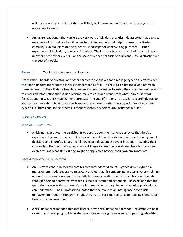will scale eventually" and that there will likely be intense competition for data analysts in this area going forward.

 An insurer cautioned that carriers are very wary of big data analytics. He asserted that big data may have a lot of value when it comes to building models that help to assess a particular company's unique place on the cyber risk landscape for underwriting purposes. Carrier experience with big data, however, is limited. The insurer observed that significant and as yet unexperienced cyber events – on the scale of a financial crisis or hurricane – could "trash" even the best of models.

## **PILLAR IV: THE ROLE OF INFORMATION SHARING**

**DESCRIPTION:** Boards of directors and other corporate executives can't manage cyber risk effectively if they don't understand what cyber risks their companies face. In order to bridge the divide between these leaders and their IT departments, companies should consider focusing their attention on the kinds of cyber risk information that senior decision-makers need and want, from what sources, in what formats, and for what risk management purposes. The goal of this pillar discussion accordingly was to identify key ideas about how to approach and address these questions in support of more effective cyber risk cultures and, in the process, a more responsive cybersecurity insurance market.

#### **DISCUSSION POINTS:**

## *DEFINING THE CHALLENGE*

 A risk manager asked the participants to describe communications obstacles that they've experienced between corporate leaders who need to make cyber and other risk management decisions and IT professionals most knowledgeable about the cyber incidents impacting their companies. He specifically asked the participants to describe how those obstacles have been overcome and what steps, if any, might be applicable beyond their own environments.

#### *INFORMATION SHARING FOUNDATIONS*

- An IT professional commented that his company adopted an intelligence-driven cyber risk management model several years ago. He noted that his company generates an overwhelming amount of information as part of its daily business operations, all of which his team funnels through filters to determine what data is most relevant and actionable. He explained that his team then converts that subset of data into readable formats that non-technical professionals can understand. The IT professional noted that the move to an intelligence-driven risk management model, although the right thing to do, has required considerable investments of time and other resources.
- A risk manager responded that intelligence-driven risk management models nevertheless help overcome stove-piping problems that too often lead to ignorance and competing goals within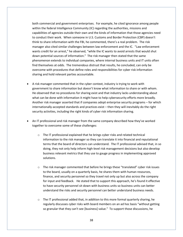both commercial and government enterprises. For example, he cited ignorance among people within the federal Intelligence Community (IC) regarding the authorities, missions and capabilities of agencies outside their own and the kinds of information that those agencies need to conduct their work. When someone in U.S. Customs and Border Protection (CBP) doesn't think to share information with the FBI, he commented, there's a real problem. The risk manager also cited similar challenges between law enforcement and the IC. "Law enforcement wants credit for an arrest," he observed, "while the IC wants to avoid arrests that would shut down potential sources of information." The risk manager then stated that the same phenomenon extends to individual companies, where internal business units and IT units often find themselves at odds. The tremendous distrust that results, he concluded, can only be overcome with procedures that define roles and responsibilities for cyber risk information sharing and hold relevant parties accountable.

- A risk manager commented that in the cyber context, industry is trying to work with government to share information but doesn't know what information to share or with whom. He observed that no procedures for sharing exist and that industry lacks understanding about what can be done with information it might have to help cybersecurity efforts more broadly. Another risk manager asserted that if companies adopt enterprise security programs – for which internationally-accepted standards and practices exist – then they will inevitably do the right security activities, including the right kinds of cyber risk information sharing.
- An IT professional and risk manager from the same company described how they've worked together to overcome some of these challenges:
	- o The IT professional explained that he brings cyber risks and related technical information to the risk manager so they can translate it into financial and reputational terms that the board of directors can understand. The IT professional advised that, in so doing, they not only help inform high-level risk management decisions but also develop business relevant metrics that they use to gauge progress in implementing approved solutions.
	- $\circ$  The risk manager commented that before he brings these "translated" cyber risk issues to the board, usually on a quarterly basis, he shares them with human resources, finance, and security personnel so they travel not only up but also across the company for input and feedback. He stated that to support this approach, he's found it effective to have security personnel sit down with business units so business units can better understand the risks and security personnel can better understand business needs.
	- $\circ$  The IT professional added that, in addition to this more formal quarterly sharing, he regularly discusses cyber risks with board members on an ad hoc basis "without getting so granular that they can't see [business] value." To support those discussions, he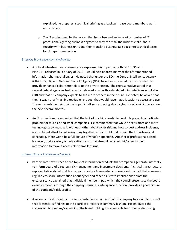explained, he prepares a technical briefing as a backup in case board members want more details.

o The IT professional further noted that he's observed an increasing number of IT professionals getting business degrees so they can "talk the business talk" about security with business units and then translate business talk back into technical terms for IT department action.

## *EXTERNAL SOURCE INFORMATION SHARING*

- A critical infrastructure representative expressed his hope that both EO 13636 and PPD-21 – released in February of 2013 – would help address many of the aforementioned information sharing challenges. He noted that under the EO, the Central Intelligence Agency (CIA), DHS, FBI, and National Security Agency (NSA) have been directed by the President to provide enhanced cyber threat data to the private sector. The representative stated that several federal agencies had recently released a cyber threat-related joint intelligence bulletin (JIB) and that his company expects to see more of them in the future. He noted, however, that the JIB was not a "machine readable" product that would have made it easier to access and use. The representative said that he hoped intelligence sharing about cyber threats will improve over the next several months.
- An IT professional commented that the lack of machine readable products presents a particular problem for mid-size and small companies. He commented that while he sees more and more technologists trying to talk with each other about cyber risk and how to best address incidents, no combined effort to pull everything together exists. Until that occurs, the IT professional concluded, there won't be a full picture of what's happening. Another IT professional stated, however, that a variety of publications exist that streamline cyber risk/cyber incident information to make it accessible to smaller firms.

## *INTERNAL SOURCE INFORMATION SHARING*

- Participants next turned to the topic of information products that companies generate internally to inform board of directors risk management and investment decisions. A critical infrastructure representative stated that his company hosts a 16-member corporate risk council that convenes regularly to share information about cyber and other risks with implications across the enterprise. He explained that individual member input, which the council presents to the board every six months through the company's business intelligence function, provides a good picture of the company's risk profile.
- A second critical infrastructure representative responded that his company has a similar council that presents its findings to the board of directors in summary fashion. He attributed the success of his company's council to the board holding it accountable for not only identifying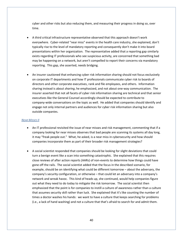cyber and other risks but also reducing them, and measuring their progress in doing so, over time.

- A third critical infrastructure representative observed that this approach doesn't work everywhere. Cyber-related "near miss" events in the health care industry, she explained, don't typically rise to the level of mandatory reporting and consequently don't make it into board presentations within her organization. The representative added that a reporting gap similarly exists regarding IT professionals who see suspicious activity, are concerned that something bad may be happening on a network, but aren't compelled to report their concerns via mandatory reporting. This gap, she asserted, needs bridging.
- An insurer cautioned that enhancing cyber risk information sharing should not focus exclusively on corporate IT departments and how IT professionals communicate cyber risk to boards of directors and other corporate executives, rank and file employees, and others. Information sharing instead is about *sharing*, he emphasized, and not about one-way communication. The insurer asserted that not all facets of cyber risk information sharing are technical and that senior executives like the General Counsel accordingly should be expected to contribute to company-wide conversations on the topic as well. He added that companies should identify and engage not only internal partners and audiences for cyber risk information sharing but also outside companies.

# *NEAR MISSES II*

- An IT professional revisited the issue of near misses and risk management, commenting that if a company looking for near misses observes that bad people are scanning its systems all day long, it may "freak people out." What, he asked, is a near miss in cybersecurity and how should companies incorporate them as part of their broader risk management strategies?
- A social scientist responded that companies should be looking for slight deviations that could turn a benign event like a scan into something catastrophic. She explained that this requires close reviews of after action reports (AARs) of non-events to determine how things could have gone off the rails. The social scientist added that the focus in the described scenario, for example, should be on identifying what could be different tomorrow – about the adversary, the company's security configuration, or otherwise – that could let an adversary into a company's network and wreak havoc. This kind of heads up, she continued, would help companies figure out what they need to do today to mitigate the risk tomorrow. The social scientist then emphasized that the point is for companies to instill a culture of awareness rather than a culture that assumes security skill rather than luck. She explained that it's like counting the number of times a doctor washes his hands: we want to have a culture that keeps searching for problems (i.e., a lack of hand washing) and not a culture that that's afraid to search for and admit them.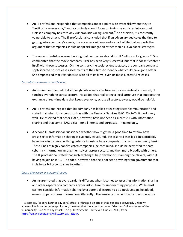- An IT professional responded that companies are at a point with cyber risk where they're "getting lucky every day" and accordingly should focus on taking near misses into account. Unless a company has zero-day vulnerabilities all figured out, $17$  he observed, it's constantly vulnerable to attack. The IT professional concluded that if an adversary dedicates the time to getting into a company's assets, the adversary will succeed – a fact of life that supports the argument that companies should adopt risk mitigation rather than risk avoidance strategies.
- The social scientist concurred, noting that companies should instill "cultures of vigilance." She commented that the movie company Pixar has been very successful, but that it doesn't content itself with those successes. On the contrary, the social scientist stated, the company conducts sophisticated post-release assessments of their films to identify what could have gone better. She emphasized that Pixar does so with all of its films, even its most successful releases.

## *CROSS-SECTOR INFORMATION SHARING*

- An insurer commented that although critical infrastructure sectors are vertically oriented, IT touches everything across sectors. He added that replicating a legal structure that supports the exchange of real-time data that keeps everyone, across all sectors, aware, would be helpful.
- An IT professional replied that his company has looked at existing sector communication and stated that when it happens, such as with the Financial Services ISAC (FS-ISAC), it works very well. He asserted that other ISACs, however, have not been as successful with information sharing and that some ISACs exist – for all intents and purposes – in name only.
- A second IT professional questioned whether now might be a good time to rethink how cross-sector information sharing is currently structured. He asserted that big banks probably have more in common with big defense industrial base companies than with community banks. These kinds of highly sophisticated companies, he continued, should be permitted to share cyber risk information among themselves, across sectors, and then more broadly with others. The IT professional stated that such exchanges help develop trust among the players, without having to join an ISAC. He added, however, that he's not seen anything from government that truly helps bring companies together.

# *CROSS-CARRIER INFORMATION SHARING*

 $\overline{a}$ 

 An insurer noted that every carrier is different when it comes to assessing information sharing and other aspects of a company's cyber risk culture for underwriting purposes. While most carriers consider information sharing by a potential insured to be a positive sign, he added, every company shares information differently. The insurer explained that carriers therefore

 $17$  A zero-day (or zero-hour or day zero) attack or [threat](https://en.wikipedia.org/wiki/Threat_(computer)) is an attack that exploits a previously unknown [vulnerability](https://en.wikipedia.org/wiki/Vulnerability_(computing)) in [a computer application,](https://en.wikipedia.org/wiki/Application_software) meaning that the attack occurs on "day zero" of awareness of the vulnerability. *See* Zero-day attack. (n.d.). In *Wikipedia*. Retrieved June 26, 2013, from [https://en.wikipedia.org/wiki/Zero-day\\_attack.](https://en.wikipedia.org/wiki/Zero-day_attack)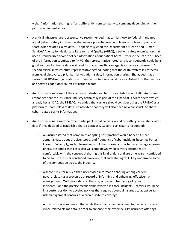weigh "information sharing" efforts differently from company to company depending on their particular circumstances.

- A critical infrastructure representative recommended that carriers look to federal mandates about patient safety information sharing as a potential source of lessons for how to pool and share cyber-related claims data. He specifically cited the Department of Health and Human Services' Agency for Healthcare Research and Quality (AHRQ), a patient safety organization that uses a standardized tool to collect information about patient harm. Cyber incidents are a subset of the information submitted to AHRQ, the representative noted, and it consequently could be a good source of actuarial data – at least insofar as healthcare organizations are concerned. A second critical infrastructure representative agreed, noting that the AHRQ system is protected from legal discovery, a prior barrier to patient safety information sharing. She added that a series of AHRQ-like organizations with similar protections could be established for other sectors and serve as additional sources of actuarial data.
- An IT professional asked if the insurance industry wanted to establish its own ISAC. An insurer responded that the insurance industry technically is part of the Financial Services Sector which already has an ISAC, the FS-ISAC. He added that carriers should consider using the FS-ISAC as a platform to share relevant data but asserted that they will also need new constructs to share cyber-related claims information.
- An IT professional asked the other participants what carriers would do with cyber-related claims data if they decided to establish a shared database. Several participants responded:
	- o An insurer stated that companies adopting best practices would benefit if more actuarial data about the size, scope, and frequency of cyber incidents becomes better known. Put simply, such information would help carriers offer better coverage at lower prices. He added that costs also will come down when carriers become more comfortable with the concept of sharing this kind of data and are otherwise incentivized to do so. The insurer concluded, however, that such sharing will likely undermine some of the competition across the industry.
	- $\circ$  A second insurer replied that incentivized information sharing among carriers nevertheless has a proven track record of informing and enhancing effective risk management. With more data on the size, scope, and frequency of cyber incidents – and the precise mechanisms involved in those incidents – carriers would be in a better position to develop policies that require potential insureds to adopt certain risk management controls as a prerequisite to coverage.
	- o A third insurer commented that while there's a tremendous need for carriers to share cyber-related claims data in order to enhance their cybersecurity insurance offerings,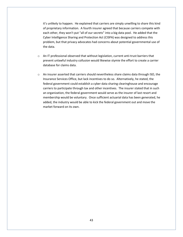it's unlikely to happen. He explained that carriers are simply unwilling to share this kind of proprietary information. A fourth insurer agreed that because carriers compete with each other, they won't put "all of our secrets" into a big data pool. He added that the Cyber Intelligence Sharing and Protection Act (CISPA) was designed to address this problem, but that privacy advocates had concerns about potential governmental use of the data.

- o An IT professional observed that without legislation, current anti-trust barriers that prevent unlawful industry collusion would likewise stymie the effort to create a carrier database for claims data.
- $\circ$  An insurer asserted that carriers should nevertheless share claims data through ISO, the Insurance Services Office, but lack incentives to do so. Alternatively, he stated, the federal government could establish a cyber data sharing clearinghouse and encourage carriers to participate through tax and other incentives. The insurer stated that in such an organization, the federal government would serve as the insurer of last resort and membership would be voluntary. Once sufficient actuarial data has been generated, he added, the industry would be able to kick the federal government out and move the market forward on its own.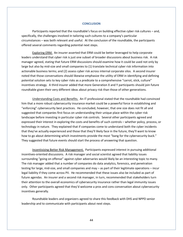#### **CONCLUSION**

Participants reported that the roundtable's focus on building effective cyber risk cultures – and, specifically, the challenges involved in tailoring such cultures to a company's particular circumstances – was both relevant and useful. At the conclusion of the roundtable, the participants offered several comments regarding potential next steps.

Exploring ERM. An insurer asserted that ERM could be better leveraged to help corporate leaders understand that cyber risk is just one subset of broader discussions about business risk. A risk manager agreed, stating that future ERM discussions should examine how it could be used not only by large but also by mid-size and small companies to (1) translate technical cyber risk information into actionable business terms; and (2) assess cyber risk across internal corporate silos. A second insurer noted that those conversations should likewise emphasize the utility of ERM in identifying and defining potential solution sets to key cyber risks as a predicate to a comprehensive "carrot, stick, culture" incentives strategy. A third insurer added that more Generation X and Y participants should join future roundtable given their very different ideas about privacy risk than those of other generations.

Understanding Costs and Benefits. An IT professional stated that the roundtable had convinced him that a more robust cybersecurity insurance market could be a powerful force in establishing and "enforcing" cybersecurity best practices. He concluded, however, that one size does not fit all and suggested that companies first focus on understanding their unique place within the cyber risk landscape before investing in particular cyber risk controls. Several other participants agreed and expressed their interest in exploring the costs and benefits of such controls – whether policy, process, or technology in nature. They explained that if companies come to understand both the cyber incidents that they've actually experienced and those that they'll likely face in the future, they'll want to know how to go about determining which investments provide the most "bang for the cybersecurity buck." They suggested that future events should start the process of answering that question.

Incentivizing Better Risk Management. Participants expressed interest in pursuing additional incentives-oriented discussions. A risk manager and social scientist agreed that liability issues surrounding "going on offense" against cyber adversaries would likely be an interesting topic to many. The risk manager added that a number of companies do data analytics, forensics, and penetration testing for large, mid-size, and small companies and may – as part of their legitimate operations – incur legal liability if they come across PII. He recommended that these issues also be included as part of future agendas. An insurer and a second risk manager, in turn, recommended that stakeholders turn their attention to the overall economics of cybersecurity insurance rather than legal immunity issues only. Other participants agreed that they'd welcome a pros and cons conversation about cybersecurity incentives generally.

Roundtable leaders and organizers agreed to share this feedback with DHS and NPPD senior leadership and to communicate with participants about next steps.